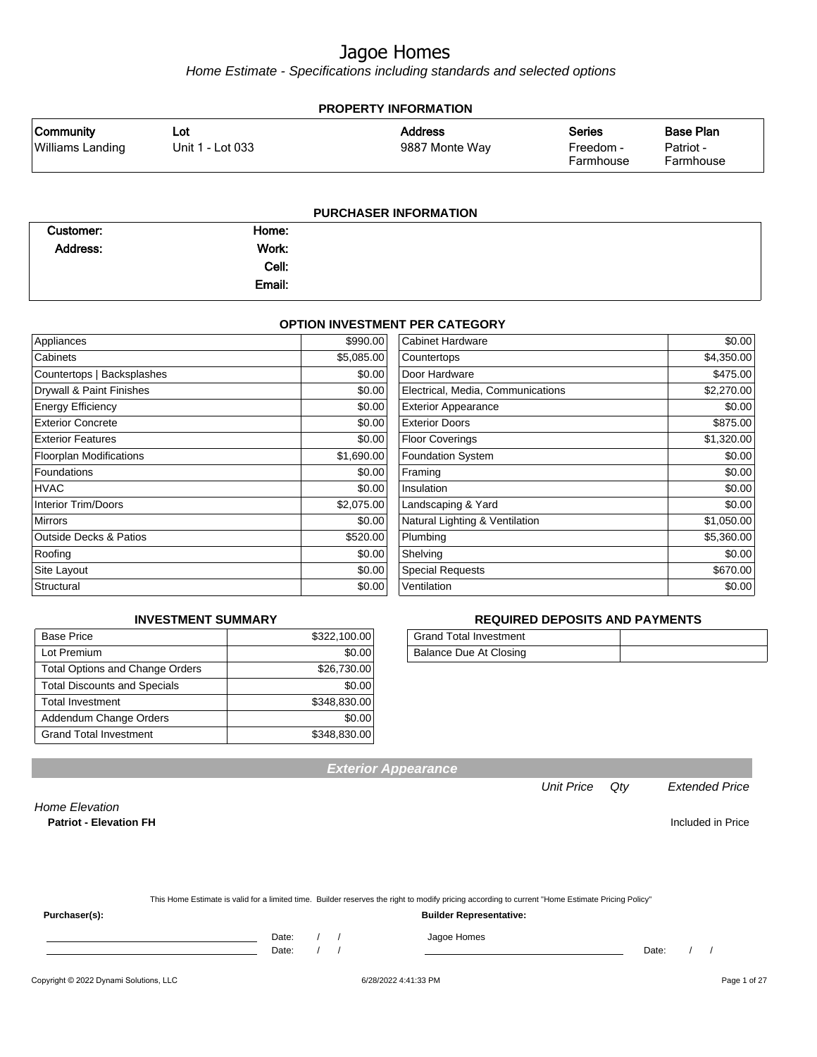Home Estimate - Specifications including standards and selected options

| <b>PROPERTY INFORMATION</b>                 |                         |                                  |                                         |                                            |  |  |
|---------------------------------------------|-------------------------|----------------------------------|-----------------------------------------|--------------------------------------------|--|--|
| <b>Community</b><br><b>Williams Landing</b> | Lot<br>Unit 1 - Lot 033 | <b>Address</b><br>9887 Monte Way | <b>Series</b><br>Freedom -<br>Farmhouse | <b>Base Plan</b><br>Patriot -<br>Farmhouse |  |  |
|                                             |                         | <b>PURCHASER INFORMATION</b>     |                                         |                                            |  |  |

| Customer:       | Home:  |  |  |  |  |  |
|-----------------|--------|--|--|--|--|--|
| <b>Address:</b> | Work:  |  |  |  |  |  |
|                 | Cell:  |  |  |  |  |  |
|                 | Email: |  |  |  |  |  |

#### **OPTION INVESTMENT PER CATEGORY**

| Appliances                        | \$990.00   | <b>Cabinet Hardware</b>           | \$0.00     |
|-----------------------------------|------------|-----------------------------------|------------|
| Cabinets                          | \$5,085.00 | Countertops                       | \$4,350.00 |
| Countertops   Backsplashes        | \$0.00     | Door Hardware                     | \$475.00   |
| Drywall & Paint Finishes          | \$0.00     | Electrical, Media, Communications | \$2,270.00 |
| <b>Energy Efficiency</b>          | \$0.00     | <b>Exterior Appearance</b>        | \$0.00     |
| <b>Exterior Concrete</b>          | \$0.00     | <b>Exterior Doors</b>             | \$875.00   |
| <b>Exterior Features</b>          | \$0.00     | <b>Floor Coverings</b>            | \$1,320.00 |
| <b>Floorplan Modifications</b>    | \$1,690.00 | <b>Foundation System</b>          | \$0.00     |
| Foundations                       | \$0.00     | Framing                           | \$0.00     |
| <b>HVAC</b>                       | \$0.00     | Insulation                        | \$0.00     |
| <b>Interior Trim/Doors</b>        | \$2,075.00 | Landscaping & Yard                | \$0.00     |
| <b>Mirrors</b>                    | \$0.00     | Natural Lighting & Ventilation    | \$1,050.00 |
| <b>Outside Decks &amp; Patios</b> | \$520.00   | Plumbing                          | \$5,360.00 |
| Roofing                           | \$0.00     | Shelving                          | \$0.00     |
| Site Layout                       | \$0.00     | <b>Special Requests</b>           | \$670.00   |
| Structural                        | \$0.00     | Ventilation                       | \$0.00     |

#### **INVESTMENT SUMMARY**

| <b>Base Price</b>                      | \$322,100.00 |
|----------------------------------------|--------------|
| Lot Premium                            | \$0.00       |
| <b>Total Options and Change Orders</b> | \$26,730.00  |
| <b>Total Discounts and Specials</b>    | \$0.00       |
| <b>Total Investment</b>                | \$348,830.00 |
| Addendum Change Orders                 | \$0.00       |
| <b>Grand Total Investment</b>          | \$348,830.00 |

#### **REQUIRED DEPOSITS AND PAYMENTS**

| <b>Grand Total Investment</b> |  |
|-------------------------------|--|
| Balance Due At Closing        |  |

**Exterior Appearance**

Unit Price Qty Extended Price

Home Elevation **Patriot - Elevation FH** Included in Price

 $Purchaser(s):$ 

|  |       |  | This Home Estimate is valid for a limited time. Builder reserves the right to modify pricing according to current "Home Estimate Pricing Policy" |       |
|--|-------|--|--------------------------------------------------------------------------------------------------------------------------------------------------|-------|
|  |       |  | <b>Builder Representative:</b>                                                                                                                   |       |
|  | Date: |  | Jagoe Homes                                                                                                                                      |       |
|  | Date: |  |                                                                                                                                                  | Date: |

Copyright © 2022 Dynami Solutions, LLC <br>
6/28/2022 4:41:33 PM ease of 27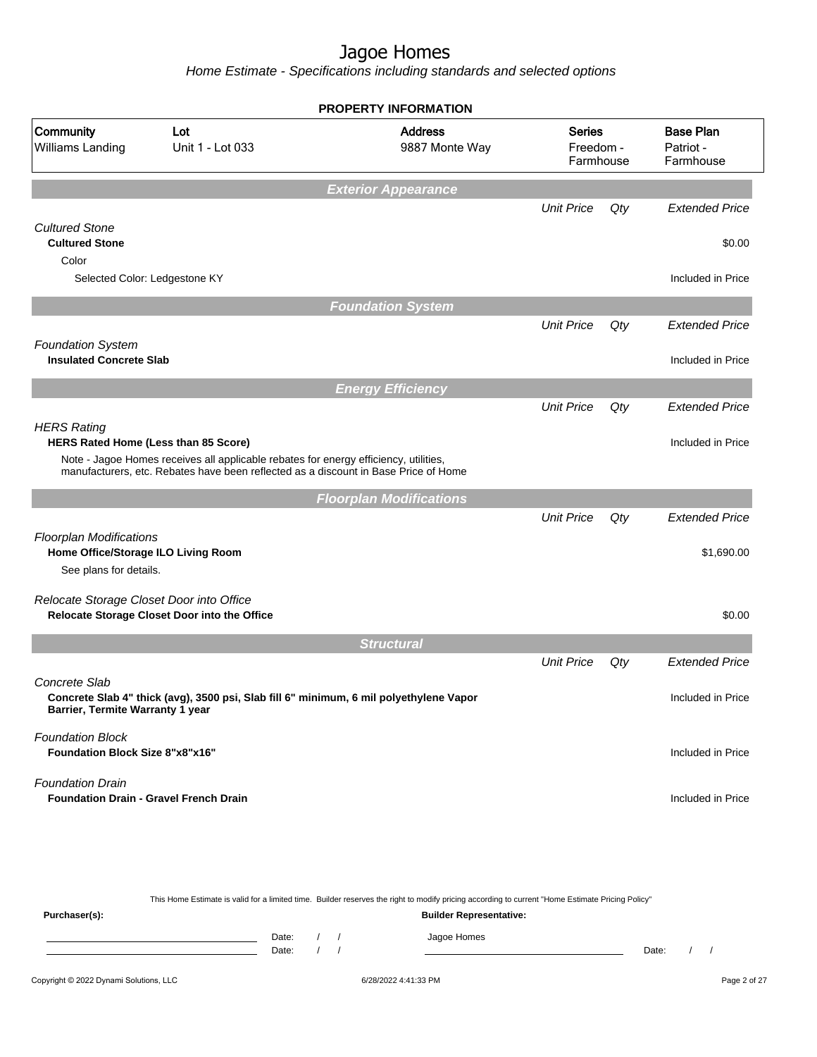Home Estimate - Specifications including standards and selected options

|                                                                                                 |                                                                                                                                                                             | <b>PROPERTY INFORMATION</b>                                                                                                                      |                                         |     |                                            |  |  |  |
|-------------------------------------------------------------------------------------------------|-----------------------------------------------------------------------------------------------------------------------------------------------------------------------------|--------------------------------------------------------------------------------------------------------------------------------------------------|-----------------------------------------|-----|--------------------------------------------|--|--|--|
| Community<br>Lot<br>Williams Landing<br>Unit 1 - Lot 033                                        |                                                                                                                                                                             | <b>Address</b><br>9887 Monte Way                                                                                                                 | <b>Series</b><br>Freedom -<br>Farmhouse |     | <b>Base Plan</b><br>Patriot -<br>Farmhouse |  |  |  |
|                                                                                                 |                                                                                                                                                                             | <b>Exterior Appearance</b>                                                                                                                       |                                         |     |                                            |  |  |  |
|                                                                                                 |                                                                                                                                                                             |                                                                                                                                                  | <b>Unit Price</b>                       | Qty | <b>Extended Price</b>                      |  |  |  |
| <b>Cultured Stone</b><br><b>Cultured Stone</b>                                                  |                                                                                                                                                                             |                                                                                                                                                  |                                         |     | \$0.00                                     |  |  |  |
| Color<br>Selected Color: Ledgestone KY                                                          |                                                                                                                                                                             |                                                                                                                                                  |                                         |     | Included in Price                          |  |  |  |
|                                                                                                 |                                                                                                                                                                             | <b>Foundation System</b>                                                                                                                         |                                         |     |                                            |  |  |  |
| <b>Foundation System</b>                                                                        |                                                                                                                                                                             |                                                                                                                                                  | <b>Unit Price</b>                       | Qty | <b>Extended Price</b>                      |  |  |  |
| <b>Insulated Concrete Slab</b>                                                                  |                                                                                                                                                                             |                                                                                                                                                  |                                         |     | Included in Price                          |  |  |  |
|                                                                                                 |                                                                                                                                                                             | <b>Energy Efficiency</b>                                                                                                                         |                                         |     |                                            |  |  |  |
|                                                                                                 |                                                                                                                                                                             |                                                                                                                                                  | <b>Unit Price</b>                       | Qty | <b>Extended Price</b>                      |  |  |  |
| <b>HERS Rating</b><br>HERS Rated Home (Less than 85 Score)                                      |                                                                                                                                                                             |                                                                                                                                                  |                                         |     | Included in Price                          |  |  |  |
|                                                                                                 | Note - Jagoe Homes receives all applicable rebates for energy efficiency, utilities,<br>manufacturers, etc. Rebates have been reflected as a discount in Base Price of Home |                                                                                                                                                  |                                         |     |                                            |  |  |  |
|                                                                                                 |                                                                                                                                                                             | <b>Floorplan Modifications</b>                                                                                                                   |                                         |     |                                            |  |  |  |
|                                                                                                 |                                                                                                                                                                             |                                                                                                                                                  | <b>Unit Price</b>                       | Qty | <b>Extended Price</b>                      |  |  |  |
| <b>Floorplan Modifications</b><br>Home Office/Storage ILO Living Room<br>See plans for details. |                                                                                                                                                                             |                                                                                                                                                  |                                         |     | \$1,690.00                                 |  |  |  |
| Relocate Storage Closet Door into Office                                                        | Relocate Storage Closet Door into the Office                                                                                                                                |                                                                                                                                                  |                                         |     | \$0.00                                     |  |  |  |
|                                                                                                 |                                                                                                                                                                             | <b>Structural</b>                                                                                                                                |                                         |     |                                            |  |  |  |
|                                                                                                 |                                                                                                                                                                             |                                                                                                                                                  | <b>Unit Price</b>                       | Qty | <b>Extended Price</b>                      |  |  |  |
| Concrete Slab<br>Barrier, Termite Warranty 1 year                                               | Concrete Slab 4" thick (avg), 3500 psi, Slab fill 6" minimum, 6 mil polyethylene Vapor                                                                                      |                                                                                                                                                  |                                         |     | Included in Price                          |  |  |  |
| <b>Foundation Block</b><br>Foundation Block Size 8"x8"x16"                                      |                                                                                                                                                                             |                                                                                                                                                  |                                         |     | Included in Price                          |  |  |  |
| <b>Foundation Drain</b><br><b>Foundation Drain - Gravel French Drain</b>                        |                                                                                                                                                                             |                                                                                                                                                  |                                         |     | Included in Price                          |  |  |  |
|                                                                                                 |                                                                                                                                                                             |                                                                                                                                                  |                                         |     |                                            |  |  |  |
|                                                                                                 |                                                                                                                                                                             | This Home Estimate is valid for a limited time. Builder reserves the right to modify pricing according to current "Home Estimate Pricing Policy" |                                         |     |                                            |  |  |  |
| Purchaser(s):                                                                                   | <b>Builder Representative:</b>                                                                                                                                              |                                                                                                                                                  |                                         |     |                                            |  |  |  |

Date: / / Jagoe Homes<br>Date: / / Jagoe Homes Date: / / **Date: / / 2006** Date: / / / Date: / / / Date: / / / 2006 Date: / / / 2006 Date: / / / 2006 Date: / / / 2006 Date: / / / 2007 Date: / / / 2007 Date: / / / 2007 Date: / / / 2007 Date: / / / 2007 Date: / / / 2007 D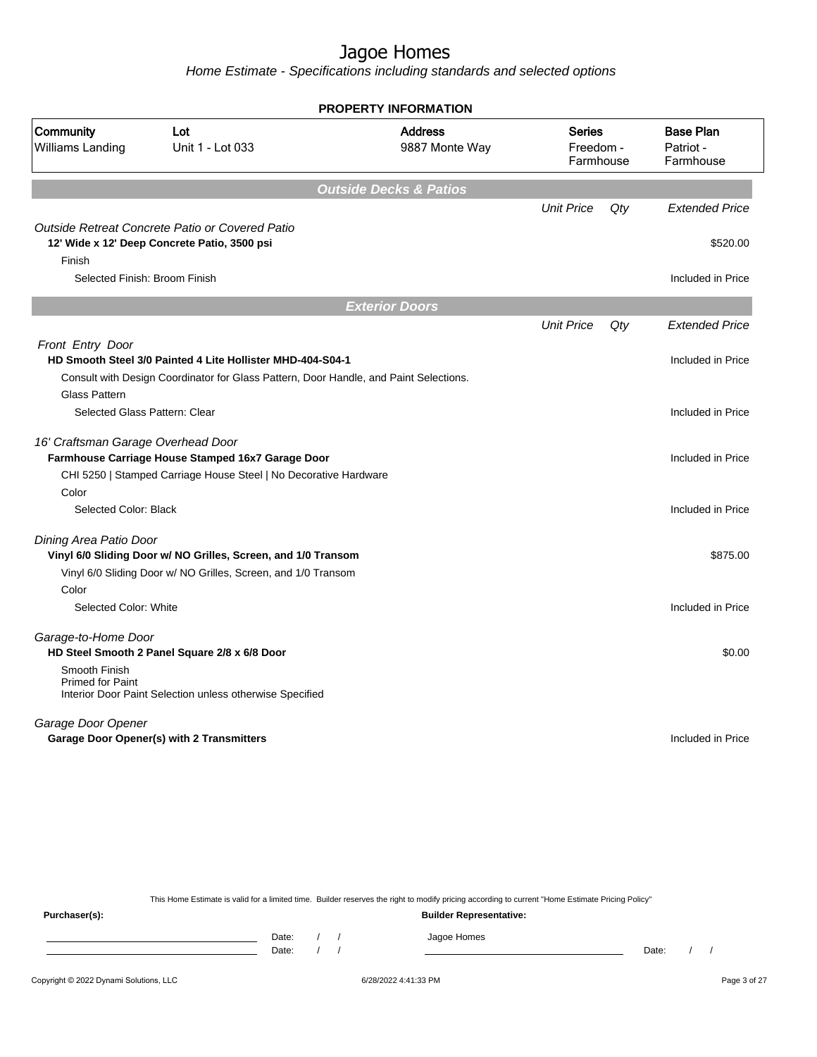Home Estimate - Specifications including standards and selected options

|                                                                 |                                                                                                                                                     | <b>PROPERTY INFORMATION</b>       |                                         |     |                                            |
|-----------------------------------------------------------------|-----------------------------------------------------------------------------------------------------------------------------------------------------|-----------------------------------|-----------------------------------------|-----|--------------------------------------------|
| Community<br>Williams Landing                                   | Lot<br>Unit 1 - Lot 033                                                                                                                             | <b>Address</b><br>9887 Monte Way  | <b>Series</b><br>Freedom -<br>Farmhouse |     | <b>Base Plan</b><br>Patriot -<br>Farmhouse |
|                                                                 |                                                                                                                                                     | <b>Outside Decks &amp; Patios</b> |                                         |     |                                            |
|                                                                 |                                                                                                                                                     |                                   | <b>Unit Price</b>                       | Qty | <b>Extended Price</b>                      |
| Finish                                                          | Outside Retreat Concrete Patio or Covered Patio<br>12' Wide x 12' Deep Concrete Patio, 3500 psi                                                     |                                   |                                         |     | \$520.00                                   |
| Selected Finish: Broom Finish                                   |                                                                                                                                                     |                                   |                                         |     | Included in Price                          |
|                                                                 |                                                                                                                                                     | <b>Exterior Doors</b>             |                                         |     |                                            |
|                                                                 |                                                                                                                                                     |                                   | <b>Unit Price</b>                       | Qty | <b>Extended Price</b>                      |
| Front Entry Door                                                |                                                                                                                                                     |                                   |                                         |     |                                            |
|                                                                 | HD Smooth Steel 3/0 Painted 4 Lite Hollister MHD-404-S04-1<br>Consult with Design Coordinator for Glass Pattern, Door Handle, and Paint Selections. |                                   |                                         |     | Included in Price                          |
| <b>Glass Pattern</b>                                            |                                                                                                                                                     |                                   |                                         |     |                                            |
| Selected Glass Pattern: Clear                                   |                                                                                                                                                     |                                   |                                         |     | Included in Price                          |
| 16' Craftsman Garage Overhead Door                              | Farmhouse Carriage House Stamped 16x7 Garage Door<br>CHI 5250   Stamped Carriage House Steel   No Decorative Hardware                               |                                   |                                         |     | Included in Price                          |
| Color                                                           |                                                                                                                                                     |                                   |                                         |     |                                            |
| Selected Color: Black                                           |                                                                                                                                                     |                                   |                                         |     | Included in Price                          |
| Dining Area Patio Door                                          |                                                                                                                                                     |                                   |                                         |     |                                            |
|                                                                 | Vinyl 6/0 Sliding Door w/ NO Grilles, Screen, and 1/0 Transom                                                                                       |                                   |                                         |     | \$875.00                                   |
|                                                                 | Vinyl 6/0 Sliding Door w/ NO Grilles, Screen, and 1/0 Transom                                                                                       |                                   |                                         |     |                                            |
| Color<br>Selected Color: White                                  |                                                                                                                                                     |                                   |                                         |     | Included in Price                          |
| Garage-to-Home Door<br>Smooth Finish<br><b>Primed for Paint</b> | HD Steel Smooth 2 Panel Square 2/8 x 6/8 Door                                                                                                       |                                   |                                         |     | \$0.00                                     |
| Garage Door Opener                                              | Interior Door Paint Selection unless otherwise Specified                                                                                            |                                   |                                         |     |                                            |
|                                                                 | Garage Door Opener(s) with 2 Transmitters                                                                                                           |                                   |                                         |     | Included in Price                          |
|                                                                 |                                                                                                                                                     |                                   |                                         |     |                                            |

This Home Estimate is valid for a limited time. Builder reserves the right to modify pricing according to current "Home Estimate Pricing Policy"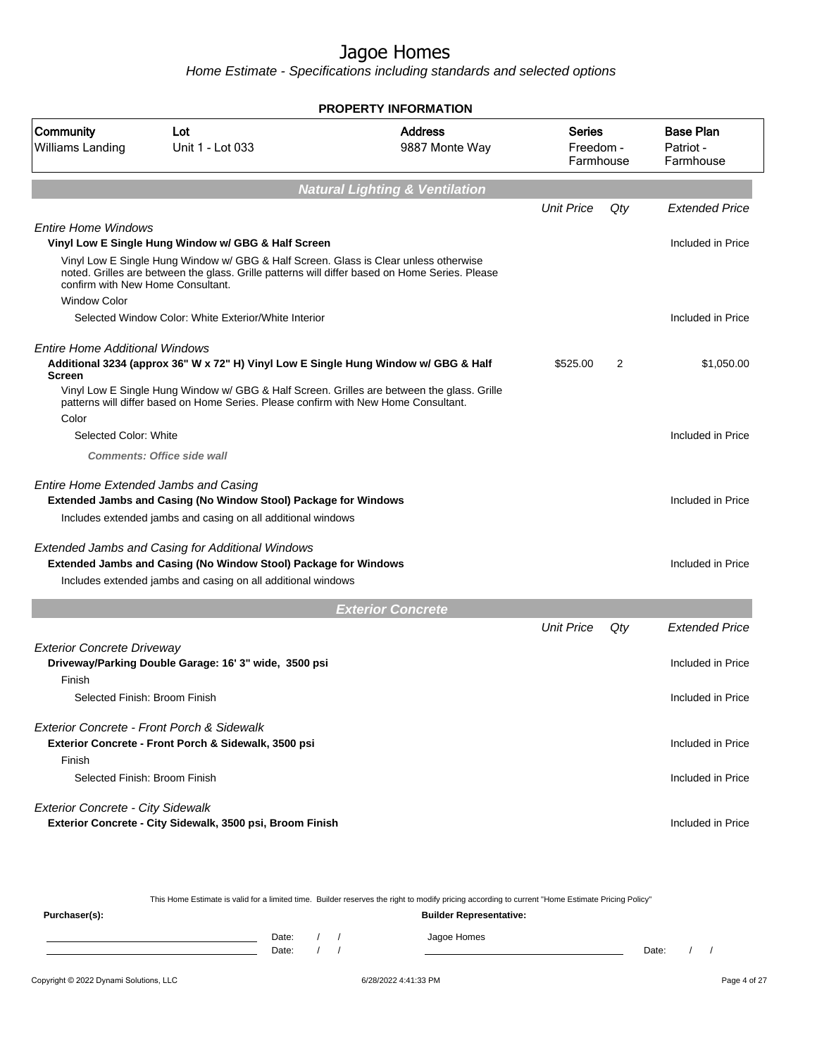|                                                                                                                                                                                                                             | <b>PROPERTY INFORMATION</b>               |                                  |     |                                            |
|-----------------------------------------------------------------------------------------------------------------------------------------------------------------------------------------------------------------------------|-------------------------------------------|----------------------------------|-----|--------------------------------------------|
| Community<br>Lot<br>Williams Landing<br>Unit 1 - Lot 033                                                                                                                                                                    | <b>Address</b><br>9887 Monte Way          | Series<br>Freedom -<br>Farmhouse |     | <b>Base Plan</b><br>Patriot -<br>Farmhouse |
|                                                                                                                                                                                                                             | <b>Natural Lighting &amp; Ventilation</b> |                                  |     |                                            |
|                                                                                                                                                                                                                             |                                           | <b>Unit Price</b>                | Qty | <b>Extended Price</b>                      |
| <b>Entire Home Windows</b>                                                                                                                                                                                                  |                                           |                                  |     |                                            |
| Vinyl Low E Single Hung Window w/ GBG & Half Screen                                                                                                                                                                         |                                           |                                  |     | Included in Price                          |
| Vinyl Low E Single Hung Window w/ GBG & Half Screen. Glass is Clear unless otherwise<br>noted. Grilles are between the glass. Grille patterns will differ based on Home Series. Please<br>confirm with New Home Consultant. |                                           |                                  |     |                                            |
| <b>Window Color</b>                                                                                                                                                                                                         |                                           |                                  |     |                                            |
| Selected Window Color: White Exterior/White Interior                                                                                                                                                                        |                                           |                                  |     | Included in Price                          |
| Entire Home Additional Windows<br>Additional 3234 (approx 36" W x 72" H) Vinyl Low E Single Hung Window w/ GBG & Half<br><b>Screen</b>                                                                                      |                                           | \$525.00                         | 2   | \$1,050.00                                 |
| Vinyl Low E Single Hung Window w/ GBG & Half Screen. Grilles are between the glass. Grille<br>patterns will differ based on Home Series. Please confirm with New Home Consultant.                                           |                                           |                                  |     |                                            |
| Color                                                                                                                                                                                                                       |                                           |                                  |     |                                            |
| Selected Color: White                                                                                                                                                                                                       |                                           |                                  |     | Included in Price                          |
| <b>Comments: Office side wall</b>                                                                                                                                                                                           |                                           |                                  |     |                                            |
| Entire Home Extended Jambs and Casing<br>Extended Jambs and Casing (No Window Stool) Package for Windows                                                                                                                    |                                           |                                  |     | Included in Price                          |
| Includes extended jambs and casing on all additional windows                                                                                                                                                                |                                           |                                  |     |                                            |
| Extended Jambs and Casing for Additional Windows<br>Extended Jambs and Casing (No Window Stool) Package for Windows                                                                                                         |                                           |                                  |     | Included in Price                          |
| Includes extended jambs and casing on all additional windows                                                                                                                                                                |                                           |                                  |     |                                            |
|                                                                                                                                                                                                                             | <b>Exterior Concrete</b>                  |                                  |     |                                            |
|                                                                                                                                                                                                                             |                                           | <b>Unit Price</b>                | Qty | <b>Extended Price</b>                      |
| <b>Exterior Concrete Driveway</b>                                                                                                                                                                                           |                                           |                                  |     |                                            |
| Driveway/Parking Double Garage: 16' 3" wide, 3500 psi<br>Finish                                                                                                                                                             |                                           |                                  |     | Included in Price                          |
| Selected Finish: Broom Finish                                                                                                                                                                                               |                                           |                                  |     | Included in Price                          |
| Exterior Concrete - Front Porch & Sidewalk<br>Exterior Concrete - Front Porch & Sidewalk, 3500 psi                                                                                                                          |                                           |                                  |     | Included in Price                          |
| Finish                                                                                                                                                                                                                      |                                           |                                  |     |                                            |
| Selected Finish: Broom Finish                                                                                                                                                                                               |                                           |                                  |     | Included in Price                          |
| <b>Exterior Concrete - City Sidewalk</b>                                                                                                                                                                                    |                                           |                                  |     |                                            |
| Exterior Concrete - City Sidewalk, 3500 psi, Broom Finish                                                                                                                                                                   |                                           |                                  |     | Included in Price                          |

|               |       |  | This Home Estimate is valid for a limited time. Builder reserves the right to modify pricing according to current "Home Estimate Pricing Policy" |       |  |
|---------------|-------|--|--------------------------------------------------------------------------------------------------------------------------------------------------|-------|--|
| Purchaser(s): |       |  | <b>Builder Representative:</b>                                                                                                                   |       |  |
|               | Date: |  | Jagoe Homes                                                                                                                                      |       |  |
|               | Date: |  |                                                                                                                                                  | Date: |  |
|               |       |  |                                                                                                                                                  |       |  |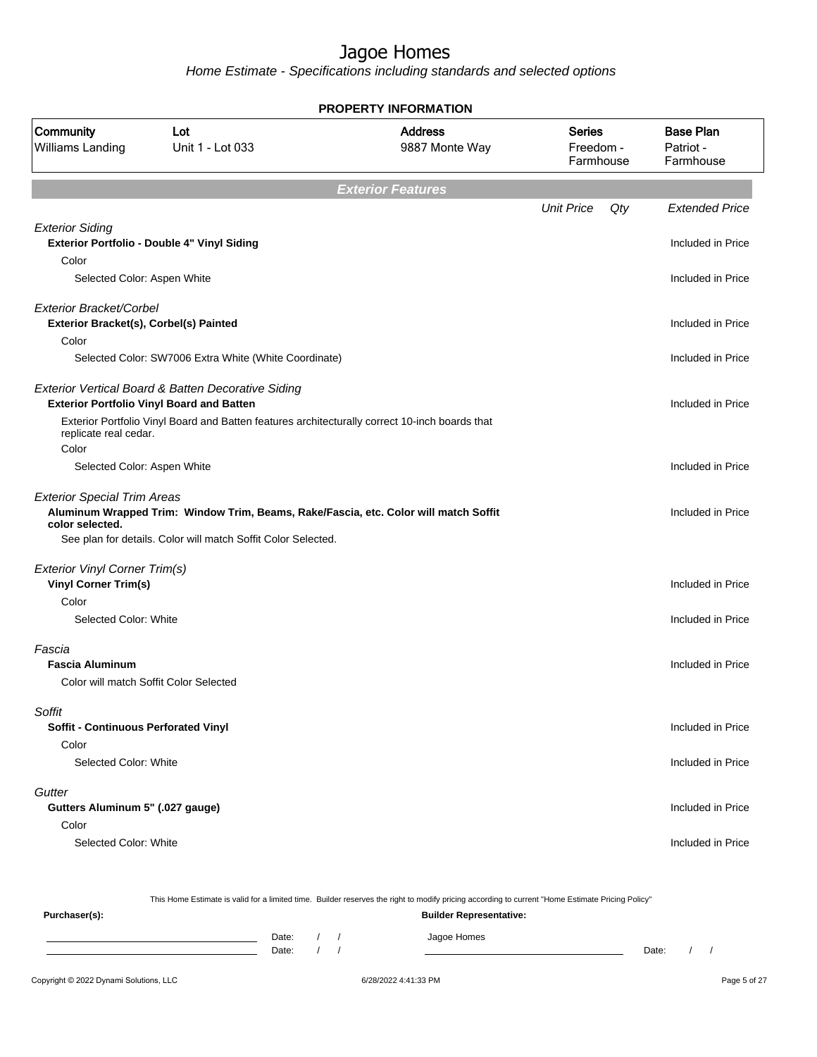Home Estimate - Specifications including standards and selected options

|                                                                   |                                                                                                                                                       | <b>PROPERTY INFORMATION</b> |                                         |                                            |
|-------------------------------------------------------------------|-------------------------------------------------------------------------------------------------------------------------------------------------------|-----------------------------|-----------------------------------------|--------------------------------------------|
| Community<br>Williams Landing                                     | <b>Address</b><br>Lot<br>Unit 1 - Lot 033<br>9887 Monte Way                                                                                           |                             | <b>Series</b><br>Freedom -<br>Farmhouse | <b>Base Plan</b><br>Patriot -<br>Farmhouse |
|                                                                   |                                                                                                                                                       | <b>Exterior Features</b>    |                                         |                                            |
|                                                                   |                                                                                                                                                       |                             | <b>Unit Price</b><br>Qty                | <b>Extended Price</b>                      |
| <b>Exterior Siding</b><br>Color                                   | Exterior Portfolio - Double 4" Vinyl Siding                                                                                                           |                             |                                         | Included in Price                          |
| Selected Color: Aspen White                                       |                                                                                                                                                       |                             |                                         | Included in Price                          |
| Exterior Bracket/Corbel<br>Exterior Bracket(s), Corbel(s) Painted |                                                                                                                                                       |                             |                                         | Included in Price                          |
| Color                                                             |                                                                                                                                                       |                             |                                         |                                            |
|                                                                   | Selected Color: SW7006 Extra White (White Coordinate)                                                                                                 |                             |                                         | Included in Price                          |
|                                                                   | Exterior Vertical Board & Batten Decorative Siding<br><b>Exterior Portfolio Vinyl Board and Batten</b>                                                |                             |                                         | Included in Price                          |
| replicate real cedar.<br>Color                                    | Exterior Portfolio Vinyl Board and Batten features architecturally correct 10-inch boards that                                                        |                             |                                         |                                            |
| Selected Color: Aspen White                                       |                                                                                                                                                       |                             |                                         | Included in Price                          |
| <b>Exterior Special Trim Areas</b><br>color selected.             | Aluminum Wrapped Trim: Window Trim, Beams, Rake/Fascia, etc. Color will match Soffit<br>See plan for details. Color will match Soffit Color Selected. |                             |                                         | Included in Price                          |
| Exterior Vinyl Corner Trim(s)                                     |                                                                                                                                                       |                             |                                         |                                            |
| <b>Vinyl Corner Trim(s)</b>                                       |                                                                                                                                                       |                             |                                         | Included in Price                          |
| Color                                                             |                                                                                                                                                       |                             |                                         |                                            |
| Selected Color: White                                             |                                                                                                                                                       |                             |                                         | Included in Price                          |
| Fascia<br><b>Fascia Aluminum</b>                                  | Color will match Soffit Color Selected                                                                                                                |                             |                                         | Included in Price                          |
|                                                                   |                                                                                                                                                       |                             |                                         |                                            |
| Soffit<br>Soffit - Continuous Perforated Vinyl                    |                                                                                                                                                       |                             |                                         | Included in Price                          |
| Color<br>Selected Color: White                                    |                                                                                                                                                       |                             |                                         | Included in Price                          |
| Gutter                                                            |                                                                                                                                                       |                             |                                         |                                            |
| Gutters Aluminum 5" (.027 gauge)                                  |                                                                                                                                                       |                             |                                         | Included in Price                          |
| Color<br>Selected Color: White                                    |                                                                                                                                                       |                             |                                         | Included in Price                          |
|                                                                   |                                                                                                                                                       |                             |                                         |                                            |

This Home Estimate is valid for a limited time. Builder reserves the right to modify pricing according to current "Home Estimate Pricing Policy"

| Purchaser(s): |       |  | <b>Builder Representative:</b> |       |  |  |
|---------------|-------|--|--------------------------------|-------|--|--|
|               | Date: |  | Jagoe Homes                    |       |  |  |
|               | Date: |  |                                | Date: |  |  |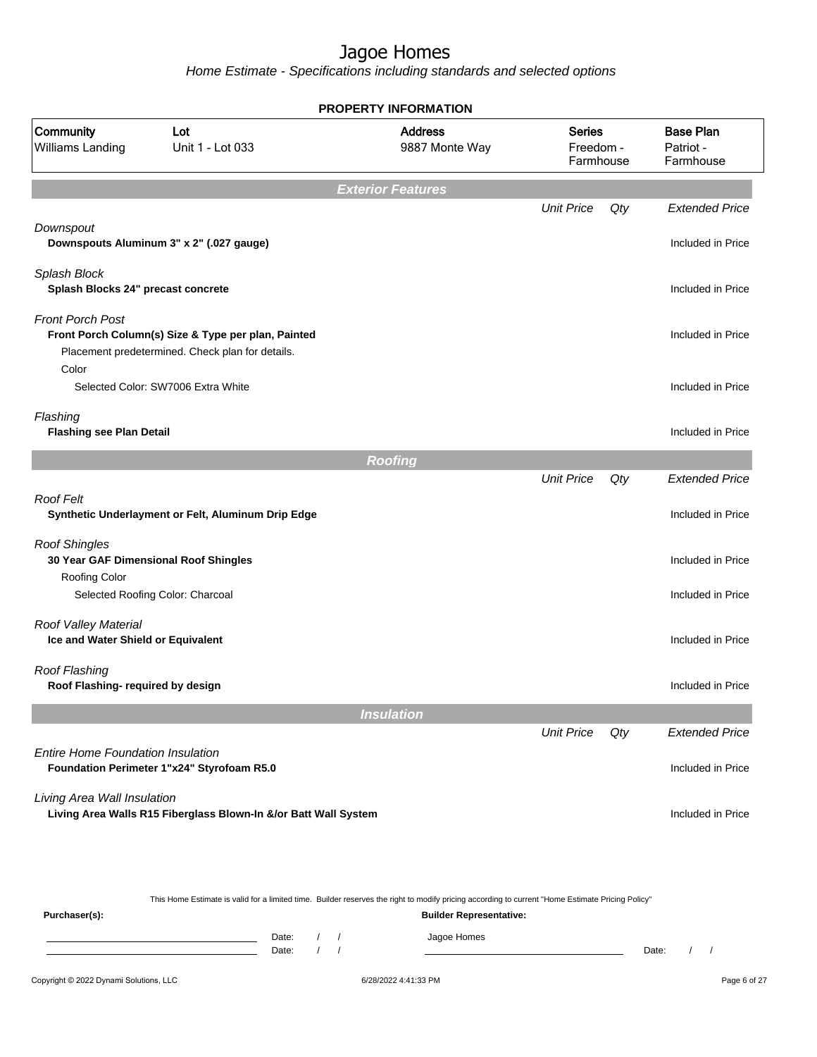| <b>PROPERTY INFORMATION</b>                                |                                                                                                         |                                  |                                         |     |                                            |  |
|------------------------------------------------------------|---------------------------------------------------------------------------------------------------------|----------------------------------|-----------------------------------------|-----|--------------------------------------------|--|
| Community<br>Williams Landing                              | Lot<br>Unit 1 - Lot 033                                                                                 | <b>Address</b><br>9887 Monte Way | <b>Series</b><br>Freedom -<br>Farmhouse |     | <b>Base Plan</b><br>Patriot -<br>Farmhouse |  |
|                                                            |                                                                                                         | <b>Exterior Features</b>         |                                         |     |                                            |  |
|                                                            |                                                                                                         |                                  | <b>Unit Price</b>                       | Qty | <b>Extended Price</b>                      |  |
| Downspout                                                  | Downspouts Aluminum 3" x 2" (.027 gauge)                                                                |                                  |                                         |     | Included in Price                          |  |
| Splash Block<br>Splash Blocks 24" precast concrete         |                                                                                                         |                                  |                                         |     | Included in Price                          |  |
| <b>Front Porch Post</b>                                    | Front Porch Column(s) Size & Type per plan, Painted<br>Placement predetermined. Check plan for details. |                                  |                                         |     | Included in Price                          |  |
| Color                                                      | Selected Color: SW7006 Extra White                                                                      |                                  |                                         |     | Included in Price                          |  |
| Flashing<br><b>Flashing see Plan Detail</b>                |                                                                                                         |                                  |                                         |     | Included in Price                          |  |
|                                                            |                                                                                                         | <b>Roofing</b>                   |                                         |     |                                            |  |
|                                                            |                                                                                                         |                                  | <b>Unit Price</b>                       | Qty | <b>Extended Price</b>                      |  |
| <b>Roof Felt</b>                                           | Synthetic Underlayment or Felt, Aluminum Drip Edge                                                      |                                  |                                         |     | Included in Price                          |  |
| <b>Roof Shingles</b><br>Roofing Color                      | 30 Year GAF Dimensional Roof Shingles                                                                   |                                  |                                         |     | Included in Price                          |  |
|                                                            | Selected Roofing Color: Charcoal                                                                        |                                  |                                         |     | Included in Price                          |  |
| Roof Valley Material<br>Ice and Water Shield or Equivalent |                                                                                                         |                                  |                                         |     | Included in Price                          |  |
| <b>Roof Flashing</b><br>Roof Flashing- required by design  |                                                                                                         |                                  |                                         |     | Included in Price                          |  |
|                                                            |                                                                                                         | <b>Insulation</b>                |                                         |     |                                            |  |
|                                                            |                                                                                                         |                                  | <b>Unit Price</b>                       | Qty | <b>Extended Price</b>                      |  |
| <b>Entire Home Foundation Insulation</b>                   | Foundation Perimeter 1"x24" Styrofoam R5.0                                                              |                                  |                                         |     | Included in Price                          |  |
| Living Area Wall Insulation                                | Living Area Walls R15 Fiberglass Blown-In &/or Batt Wall System                                         |                                  |                                         |     | Included in Price                          |  |
|                                                            |                                                                                                         |                                  |                                         |     |                                            |  |

|               |       |                                |  |  | This Home Estimate is valid for a limited time. Builder reserves the right to modify pricing according to current "Home Estimate Pricing Policy" |       |  |  |  |  |
|---------------|-------|--------------------------------|--|--|--------------------------------------------------------------------------------------------------------------------------------------------------|-------|--|--|--|--|
| Purchaser(s): |       | <b>Builder Representative:</b> |  |  |                                                                                                                                                  |       |  |  |  |  |
|               | Date: |                                |  |  | Jagoe Homes                                                                                                                                      |       |  |  |  |  |
|               | Date: |                                |  |  |                                                                                                                                                  | Date: |  |  |  |  |
|               |       |                                |  |  |                                                                                                                                                  |       |  |  |  |  |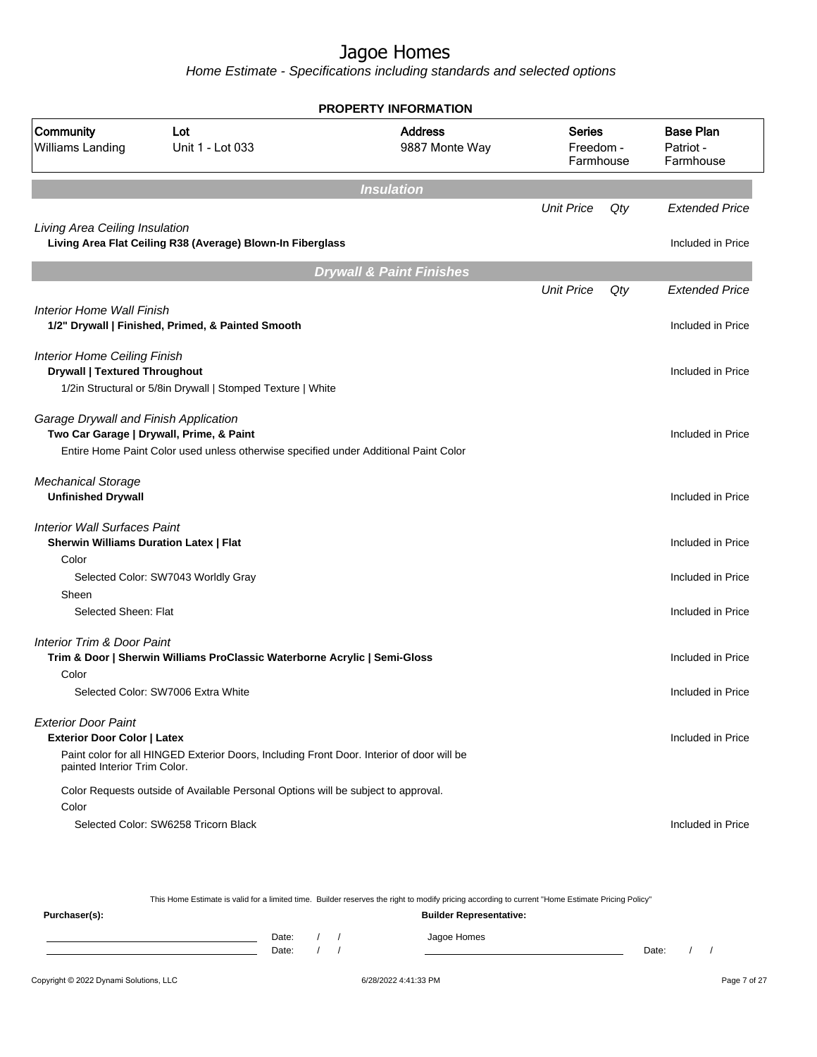Home Estimate - Specifications including standards and selected options

| <b>PROPERTY INFORMATION</b>                                                                      |                                                                                                                                  |                                     |                                         |     |                                            |  |
|--------------------------------------------------------------------------------------------------|----------------------------------------------------------------------------------------------------------------------------------|-------------------------------------|-----------------------------------------|-----|--------------------------------------------|--|
| Community<br>Williams Landing                                                                    | Lot<br>Unit 1 - Lot 033                                                                                                          | <b>Address</b><br>9887 Monte Way    | <b>Series</b><br>Freedom -<br>Farmhouse |     | <b>Base Plan</b><br>Patriot -<br>Farmhouse |  |
|                                                                                                  |                                                                                                                                  | <b>Insulation</b>                   |                                         |     |                                            |  |
|                                                                                                  |                                                                                                                                  |                                     | <b>Unit Price</b>                       | Qty | <b>Extended Price</b>                      |  |
| Living Area Ceiling Insulation                                                                   | Living Area Flat Ceiling R38 (Average) Blown-In Fiberglass                                                                       |                                     |                                         |     | Included in Price                          |  |
|                                                                                                  |                                                                                                                                  | <b>Drywall &amp; Paint Finishes</b> |                                         |     |                                            |  |
|                                                                                                  |                                                                                                                                  |                                     | <b>Unit Price</b>                       | Qty | <b>Extended Price</b>                      |  |
| <b>Interior Home Wall Finish</b>                                                                 | 1/2" Drywall   Finished, Primed, & Painted Smooth                                                                                |                                     |                                         |     | Included in Price                          |  |
| <b>Interior Home Ceiling Finish</b><br><b>Drywall   Textured Throughout</b>                      | 1/2in Structural or 5/8in Drywall   Stomped Texture   White                                                                      |                                     |                                         |     | Included in Price                          |  |
| Garage Drywall and Finish Application                                                            | Two Car Garage   Drywall, Prime, & Paint<br>Entire Home Paint Color used unless otherwise specified under Additional Paint Color |                                     |                                         |     | Included in Price                          |  |
| <b>Mechanical Storage</b><br><b>Unfinished Drywall</b>                                           |                                                                                                                                  |                                     |                                         |     | Included in Price                          |  |
| <b>Interior Wall Surfaces Paint</b><br><b>Sherwin Williams Duration Latex   Flat</b><br>Color    | Selected Color: SW7043 Worldly Gray                                                                                              |                                     |                                         |     | Included in Price<br>Included in Price     |  |
| Sheen                                                                                            |                                                                                                                                  |                                     |                                         |     |                                            |  |
| Selected Sheen: Flat                                                                             |                                                                                                                                  |                                     |                                         |     | Included in Price                          |  |
| Interior Trim & Door Paint                                                                       | Trim & Door   Sherwin Williams ProClassic Waterborne Acrylic   Semi-Gloss                                                        |                                     |                                         |     | Included in Price                          |  |
| Color                                                                                            | Selected Color: SW7006 Extra White                                                                                               |                                     |                                         |     | Included in Price                          |  |
| <b>Exterior Door Paint</b><br><b>Exterior Door Color   Latex</b><br>painted Interior Trim Color. | Paint color for all HINGED Exterior Doors, Including Front Door. Interior of door will be                                        |                                     |                                         |     | Included in Price                          |  |
| Color                                                                                            | Color Requests outside of Available Personal Options will be subject to approval.<br>Selected Color: SW6258 Tricorn Black        |                                     |                                         |     | Included in Price                          |  |

This Home Estimate is valid for a limited time. Builder reserves the right to modify pricing according to current "Home Estimate Pricing Policy"

| Purchaser(s): |                |  | <b>Builder Representative:</b> |       |  |
|---------------|----------------|--|--------------------------------|-------|--|
|               | Date:<br>Date: |  | Jagoe Homes                    | Date: |  |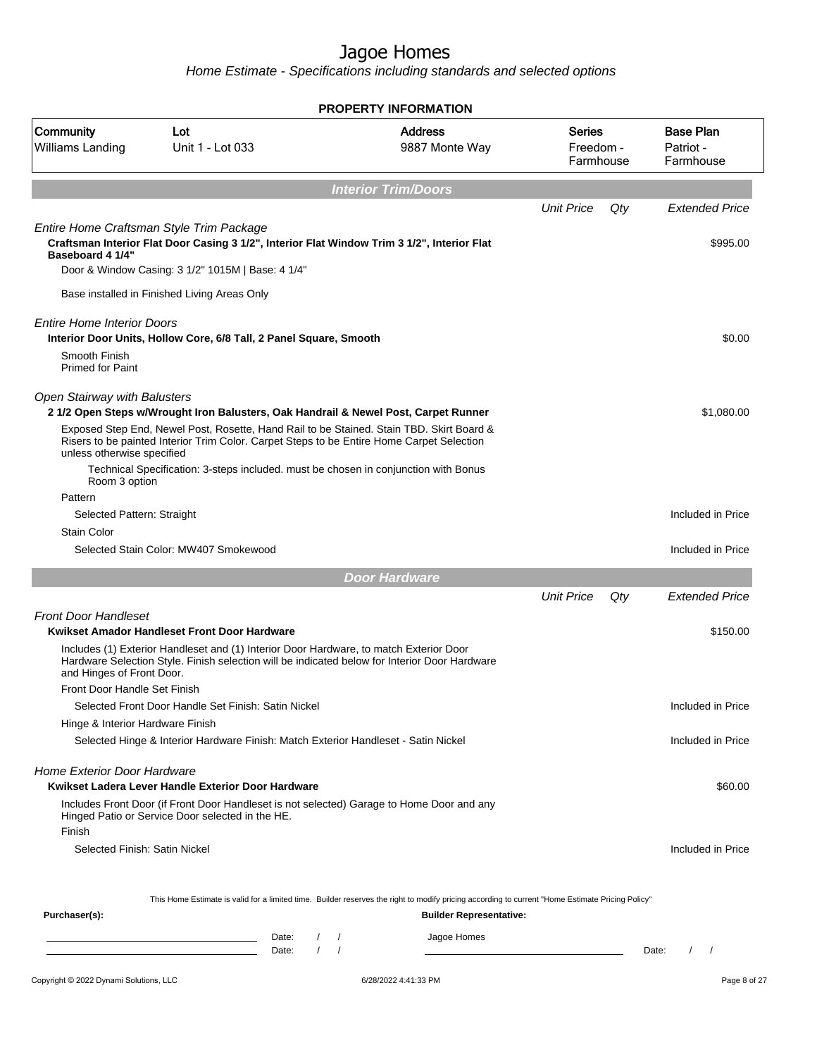|                                                                                    | <b>PROPERTY INFORMATION</b>                                                                                                                                                                                                                                                                                                                                        |                                      |                                               |                                  |     |                                                 |  |  |
|------------------------------------------------------------------------------------|--------------------------------------------------------------------------------------------------------------------------------------------------------------------------------------------------------------------------------------------------------------------------------------------------------------------------------------------------------------------|--------------------------------------|-----------------------------------------------|----------------------------------|-----|-------------------------------------------------|--|--|
| Community<br>Williams Landing                                                      | Lot<br>Unit 1 - Lot 033                                                                                                                                                                                                                                                                                                                                            |                                      | <b>Address</b><br>9887 Monte Way              | Series<br>Freedom -<br>Farmhouse |     | <b>Base Plan</b><br>Patriot -<br>Farmhouse      |  |  |
|                                                                                    |                                                                                                                                                                                                                                                                                                                                                                    |                                      | <b>Interior Trim/Doors</b>                    |                                  |     |                                                 |  |  |
|                                                                                    |                                                                                                                                                                                                                                                                                                                                                                    |                                      |                                               | <b>Unit Price</b>                | Qty | <b>Extended Price</b>                           |  |  |
| Entire Home Craftsman Style Trim Package<br>Baseboard 4 1/4"                       | Craftsman Interior Flat Door Casing 3 1/2", Interior Flat Window Trim 3 1/2", Interior Flat<br>Door & Window Casing: 3 1/2" 1015M   Base: 4 1/4"                                                                                                                                                                                                                   |                                      |                                               |                                  |     | \$995.00                                        |  |  |
| Base installed in Finished Living Areas Only                                       |                                                                                                                                                                                                                                                                                                                                                                    |                                      |                                               |                                  |     |                                                 |  |  |
| <b>Entire Home Interior Doors</b><br>Smooth Finish<br><b>Primed for Paint</b>      | Interior Door Units, Hollow Core, 6/8 Tall, 2 Panel Square, Smooth                                                                                                                                                                                                                                                                                                 |                                      |                                               |                                  |     | \$0.00                                          |  |  |
| <b>Open Stairway with Balusters</b><br>unless otherwise specified<br>Room 3 option | 21/2 Open Steps w/Wrought Iron Balusters, Oak Handrail & Newel Post, Carpet Runner<br>Exposed Step End, Newel Post, Rosette, Hand Rail to be Stained. Stain TBD. Skirt Board &<br>Risers to be painted Interior Trim Color. Carpet Steps to be Entire Home Carpet Selection<br>Technical Specification: 3-steps included. must be chosen in conjunction with Bonus |                                      |                                               |                                  |     | \$1,080.00                                      |  |  |
| Pattern                                                                            |                                                                                                                                                                                                                                                                                                                                                                    |                                      |                                               |                                  |     |                                                 |  |  |
| Selected Pattern: Straight<br><b>Stain Color</b>                                   |                                                                                                                                                                                                                                                                                                                                                                    |                                      |                                               |                                  |     | Included in Price                               |  |  |
|                                                                                    | Selected Stain Color: MW407 Smokewood                                                                                                                                                                                                                                                                                                                              |                                      |                                               |                                  |     | Included in Price                               |  |  |
|                                                                                    |                                                                                                                                                                                                                                                                                                                                                                    | <b>Door Hardware</b>                 |                                               |                                  |     |                                                 |  |  |
|                                                                                    |                                                                                                                                                                                                                                                                                                                                                                    |                                      |                                               | <b>Unit Price</b>                | Qty | <b>Extended Price</b>                           |  |  |
| <b>Front Door Handleset</b>                                                        | Kwikset Amador Handleset Front Door Hardware                                                                                                                                                                                                                                                                                                                       |                                      |                                               |                                  |     | \$150.00                                        |  |  |
| and Hinges of Front Door.                                                          | Includes (1) Exterior Handleset and (1) Interior Door Hardware, to match Exterior Door<br>Hardware Selection Style. Finish selection will be indicated below for Interior Door Hardware                                                                                                                                                                            |                                      |                                               |                                  |     |                                                 |  |  |
| Front Door Handle Set Finish                                                       | Selected Front Door Handle Set Finish: Satin Nickel                                                                                                                                                                                                                                                                                                                |                                      |                                               |                                  |     | Included in Price                               |  |  |
| Hinge & Interior Hardware Finish                                                   |                                                                                                                                                                                                                                                                                                                                                                    |                                      |                                               |                                  |     |                                                 |  |  |
|                                                                                    | Selected Hinge & Interior Hardware Finish: Match Exterior Handleset - Satin Nickel                                                                                                                                                                                                                                                                                 |                                      |                                               |                                  |     | Included in Price                               |  |  |
| <b>Home Exterior Door Hardware</b>                                                 | Kwikset Ladera Lever Handle Exterior Door Hardware                                                                                                                                                                                                                                                                                                                 |                                      |                                               |                                  |     | \$60.00                                         |  |  |
|                                                                                    | Includes Front Door (if Front Door Handleset is not selected) Garage to Home Door and any<br>Hinged Patio or Service Door selected in the HE.                                                                                                                                                                                                                      |                                      |                                               |                                  |     |                                                 |  |  |
| Finish<br>Selected Finish: Satin Nickel                                            |                                                                                                                                                                                                                                                                                                                                                                    |                                      |                                               |                                  |     | Included in Price                               |  |  |
| Purchaser(s):                                                                      | This Home Estimate is valid for a limited time. Builder reserves the right to modify pricing according to current "Home Estimate Pricing Policy"<br>Date:<br><u> 1989 - Johann Barn, amerikansk politiker (d. 1989)</u><br>Date:                                                                                                                                   | $\left  \right $<br>$\left  \right $ | <b>Builder Representative:</b><br>Jagoe Homes |                                  |     | $\sqrt{2}$<br>Date:<br>$\overline{\phantom{a}}$ |  |  |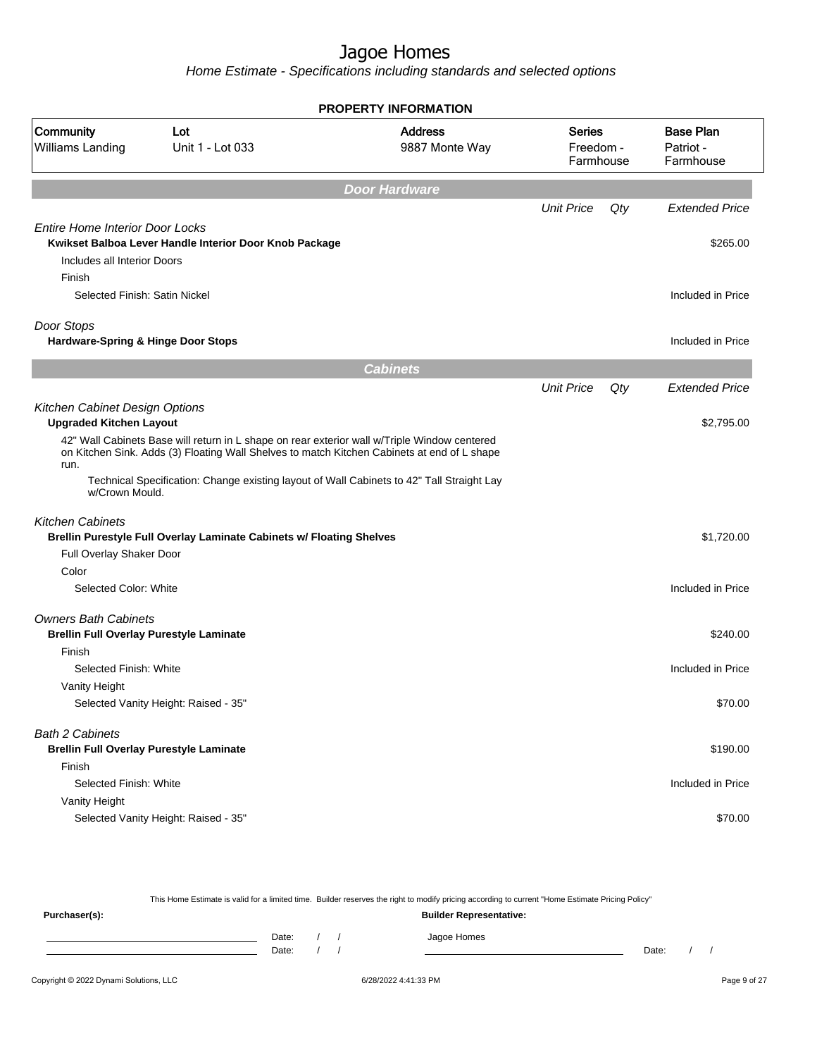|                                                |                                                                                                                                                                                             | <b>PROPERTY INFORMATION</b>      |                                         |     |                                            |
|------------------------------------------------|---------------------------------------------------------------------------------------------------------------------------------------------------------------------------------------------|----------------------------------|-----------------------------------------|-----|--------------------------------------------|
| Community<br>Williams Landing                  | Lot<br>Unit 1 - Lot 033                                                                                                                                                                     | <b>Address</b><br>9887 Monte Way | <b>Series</b><br>Freedom -<br>Farmhouse |     | <b>Base Plan</b><br>Patriot -<br>Farmhouse |
|                                                |                                                                                                                                                                                             | <b>Door Hardware</b>             |                                         |     |                                            |
|                                                |                                                                                                                                                                                             |                                  | <b>Unit Price</b>                       | Qty | <b>Extended Price</b>                      |
| <b>Entire Home Interior Door Locks</b>         |                                                                                                                                                                                             |                                  |                                         |     |                                            |
| Includes all Interior Doors                    | Kwikset Balboa Lever Handle Interior Door Knob Package                                                                                                                                      |                                  |                                         |     | \$265.00                                   |
| Finish                                         |                                                                                                                                                                                             |                                  |                                         |     |                                            |
| Selected Finish: Satin Nickel                  |                                                                                                                                                                                             |                                  |                                         |     | Included in Price                          |
| Door Stops                                     |                                                                                                                                                                                             |                                  |                                         |     |                                            |
| Hardware-Spring & Hinge Door Stops             |                                                                                                                                                                                             |                                  |                                         |     | Included in Price                          |
|                                                |                                                                                                                                                                                             | <b>Cabinets</b>                  |                                         |     |                                            |
|                                                |                                                                                                                                                                                             |                                  | <b>Unit Price</b>                       | Qty | <b>Extended Price</b>                      |
| Kitchen Cabinet Design Options                 |                                                                                                                                                                                             |                                  |                                         |     |                                            |
| <b>Upgraded Kitchen Layout</b>                 |                                                                                                                                                                                             |                                  |                                         |     | \$2,795.00                                 |
| run.                                           | 42" Wall Cabinets Base will return in L shape on rear exterior wall w/Triple Window centered<br>on Kitchen Sink. Adds (3) Floating Wall Shelves to match Kitchen Cabinets at end of L shape |                                  |                                         |     |                                            |
| w/Crown Mould.                                 | Technical Specification: Change existing layout of Wall Cabinets to 42" Tall Straight Lay                                                                                                   |                                  |                                         |     |                                            |
| <b>Kitchen Cabinets</b>                        |                                                                                                                                                                                             |                                  |                                         |     |                                            |
|                                                | Brellin Purestyle Full Overlay Laminate Cabinets w/ Floating Shelves                                                                                                                        |                                  |                                         |     | \$1,720.00                                 |
| Full Overlay Shaker Door                       |                                                                                                                                                                                             |                                  |                                         |     |                                            |
| Color                                          |                                                                                                                                                                                             |                                  |                                         |     |                                            |
| Selected Color: White                          |                                                                                                                                                                                             |                                  |                                         |     | Included in Price                          |
| <b>Owners Bath Cabinets</b>                    |                                                                                                                                                                                             |                                  |                                         |     |                                            |
| <b>Brellin Full Overlay Purestyle Laminate</b> |                                                                                                                                                                                             |                                  |                                         |     | \$240.00                                   |
| Finish                                         |                                                                                                                                                                                             |                                  |                                         |     |                                            |
| Selected Finish: White                         |                                                                                                                                                                                             |                                  |                                         |     | Included in Price                          |
| Vanity Height                                  |                                                                                                                                                                                             |                                  |                                         |     |                                            |
|                                                | Selected Vanity Height: Raised - 35"                                                                                                                                                        |                                  |                                         |     | \$70.00                                    |
| <b>Bath 2 Cabinets</b>                         |                                                                                                                                                                                             |                                  |                                         |     |                                            |
|                                                | <b>Brellin Full Overlay Purestyle Laminate</b>                                                                                                                                              |                                  |                                         |     | \$190.00                                   |
| Finish                                         |                                                                                                                                                                                             |                                  |                                         |     |                                            |
| Selected Finish: White                         |                                                                                                                                                                                             |                                  |                                         |     | Included in Price                          |
| Vanity Height                                  |                                                                                                                                                                                             |                                  |                                         |     |                                            |
|                                                | Selected Vanity Height: Raised - 35"                                                                                                                                                        |                                  |                                         |     | \$70.00                                    |
|                                                |                                                                                                                                                                                             |                                  |                                         |     |                                            |

| This Home Estimate is valid for a limited time. Builder reserves the right to modify pricing according to current "Home Estimate Pricing Policy" |       |                                |  |  |             |       |  |  |  |  |
|--------------------------------------------------------------------------------------------------------------------------------------------------|-------|--------------------------------|--|--|-------------|-------|--|--|--|--|
| Purchaser(s):                                                                                                                                    |       | <b>Builder Representative:</b> |  |  |             |       |  |  |  |  |
|                                                                                                                                                  | Date: |                                |  |  | Jagoe Homes |       |  |  |  |  |
|                                                                                                                                                  | Date: |                                |  |  |             | Date: |  |  |  |  |
|                                                                                                                                                  |       |                                |  |  |             |       |  |  |  |  |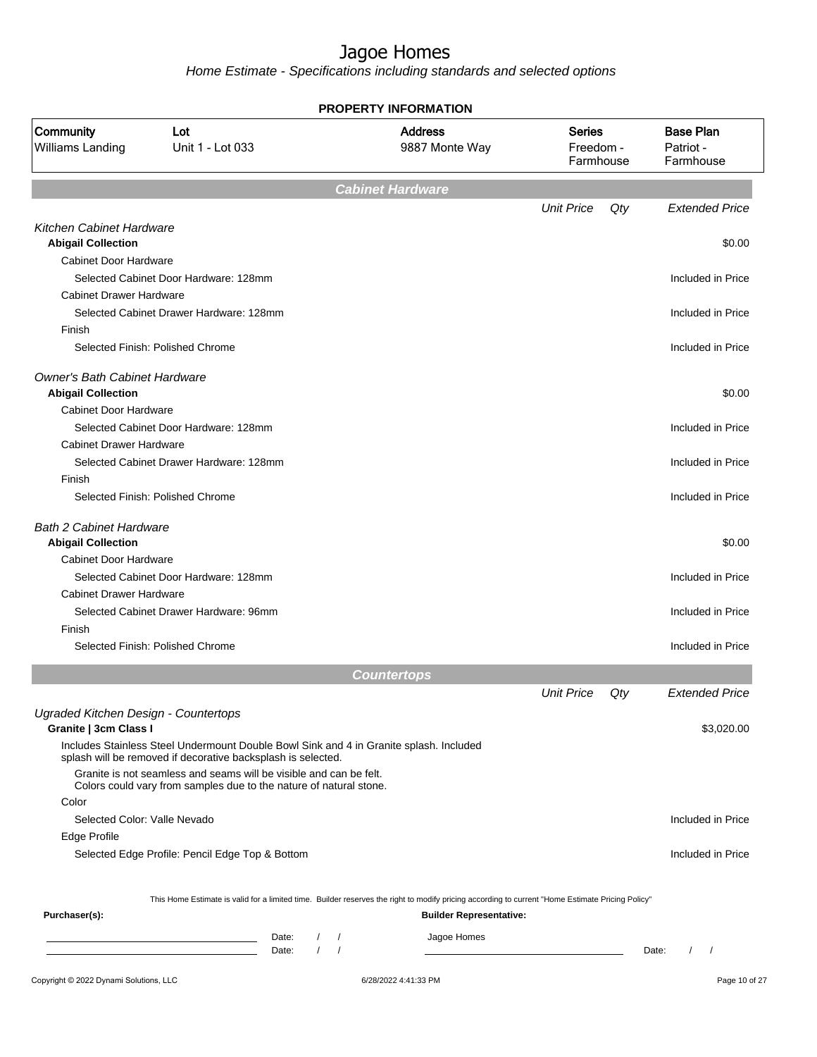| Community<br>Williams Landing                                 | Lot                                                                                                                                                    |                                               |                                                                                                                                                  |                                         |     |                                            |
|---------------------------------------------------------------|--------------------------------------------------------------------------------------------------------------------------------------------------------|-----------------------------------------------|--------------------------------------------------------------------------------------------------------------------------------------------------|-----------------------------------------|-----|--------------------------------------------|
|                                                               | Unit 1 - Lot 033                                                                                                                                       |                                               | <b>Address</b><br>9887 Monte Way                                                                                                                 | <b>Series</b><br>Freedom -<br>Farmhouse |     | <b>Base Plan</b><br>Patriot -<br>Farmhouse |
|                                                               |                                                                                                                                                        |                                               | <b>Cabinet Hardware</b>                                                                                                                          |                                         |     |                                            |
|                                                               |                                                                                                                                                        |                                               |                                                                                                                                                  | <b>Unit Price</b>                       | Qty | <b>Extended Price</b>                      |
| Kitchen Cabinet Hardware                                      |                                                                                                                                                        |                                               |                                                                                                                                                  |                                         |     |                                            |
| <b>Abigail Collection</b><br>Cabinet Door Hardware            |                                                                                                                                                        |                                               |                                                                                                                                                  |                                         |     | \$0.00                                     |
|                                                               | Selected Cabinet Door Hardware: 128mm                                                                                                                  |                                               |                                                                                                                                                  |                                         |     | Included in Price                          |
| <b>Cabinet Drawer Hardware</b>                                |                                                                                                                                                        |                                               |                                                                                                                                                  |                                         |     |                                            |
|                                                               | Selected Cabinet Drawer Hardware: 128mm                                                                                                                |                                               |                                                                                                                                                  |                                         |     | Included in Price                          |
| Finish                                                        |                                                                                                                                                        |                                               |                                                                                                                                                  |                                         |     |                                            |
|                                                               | Selected Finish: Polished Chrome                                                                                                                       |                                               |                                                                                                                                                  |                                         |     | Included in Price                          |
| <b>Owner's Bath Cabinet Hardware</b>                          |                                                                                                                                                        |                                               |                                                                                                                                                  |                                         |     |                                            |
| <b>Abigail Collection</b>                                     |                                                                                                                                                        |                                               |                                                                                                                                                  |                                         |     | \$0.00                                     |
| Cabinet Door Hardware                                         |                                                                                                                                                        |                                               |                                                                                                                                                  |                                         |     |                                            |
|                                                               | Selected Cabinet Door Hardware: 128mm                                                                                                                  |                                               |                                                                                                                                                  |                                         |     | Included in Price                          |
| <b>Cabinet Drawer Hardware</b>                                |                                                                                                                                                        |                                               |                                                                                                                                                  |                                         |     |                                            |
|                                                               | Selected Cabinet Drawer Hardware: 128mm                                                                                                                |                                               |                                                                                                                                                  |                                         |     | Included in Price                          |
| Finish                                                        |                                                                                                                                                        |                                               |                                                                                                                                                  |                                         |     |                                            |
| Selected Finish: Polished Chrome                              |                                                                                                                                                        |                                               |                                                                                                                                                  |                                         |     | Included in Price                          |
| <b>Bath 2 Cabinet Hardware</b>                                |                                                                                                                                                        |                                               |                                                                                                                                                  |                                         |     |                                            |
| <b>Abigail Collection</b>                                     |                                                                                                                                                        |                                               |                                                                                                                                                  |                                         |     | \$0.00                                     |
| <b>Cabinet Door Hardware</b>                                  |                                                                                                                                                        |                                               |                                                                                                                                                  |                                         |     |                                            |
|                                                               | Selected Cabinet Door Hardware: 128mm                                                                                                                  |                                               |                                                                                                                                                  |                                         |     | Included in Price                          |
| <b>Cabinet Drawer Hardware</b>                                |                                                                                                                                                        |                                               |                                                                                                                                                  |                                         |     |                                            |
|                                                               | Selected Cabinet Drawer Hardware: 96mm                                                                                                                 |                                               |                                                                                                                                                  |                                         |     | Included in Price                          |
| Finish                                                        |                                                                                                                                                        |                                               |                                                                                                                                                  |                                         |     |                                            |
| Selected Finish: Polished Chrome                              |                                                                                                                                                        |                                               |                                                                                                                                                  |                                         |     | Included in Price                          |
|                                                               |                                                                                                                                                        |                                               | <b>Countertops</b>                                                                                                                               |                                         |     |                                            |
|                                                               |                                                                                                                                                        |                                               |                                                                                                                                                  | <b>Unit Price</b>                       | Qty | <b>Extended Price</b>                      |
| Ugraded Kitchen Design - Countertops<br>Granite   3cm Class I |                                                                                                                                                        |                                               |                                                                                                                                                  |                                         |     | \$3,020.00                                 |
|                                                               | Includes Stainless Steel Undermount Double Bowl Sink and 4 in Granite splash. Included<br>splash will be removed if decorative backsplash is selected. |                                               |                                                                                                                                                  |                                         |     |                                            |
|                                                               | Granite is not seamless and seams will be visible and can be felt.<br>Colors could vary from samples due to the nature of natural stone.               |                                               |                                                                                                                                                  |                                         |     |                                            |
| Color                                                         |                                                                                                                                                        |                                               |                                                                                                                                                  |                                         |     |                                            |
| Selected Color: Valle Nevado                                  |                                                                                                                                                        |                                               |                                                                                                                                                  |                                         |     | Included in Price                          |
| Edge Profile                                                  |                                                                                                                                                        |                                               |                                                                                                                                                  |                                         |     |                                            |
|                                                               | Selected Edge Profile: Pencil Edge Top & Bottom                                                                                                        |                                               |                                                                                                                                                  |                                         |     | Included in Price                          |
|                                                               |                                                                                                                                                        |                                               |                                                                                                                                                  |                                         |     |                                            |
|                                                               |                                                                                                                                                        |                                               | This Home Estimate is valid for a limited time. Builder reserves the right to modify pricing according to current "Home Estimate Pricing Policy" |                                         |     |                                            |
| Purchaser(s):                                                 |                                                                                                                                                        |                                               | <b>Builder Representative:</b>                                                                                                                   |                                         |     |                                            |
|                                                               | Date:<br><u> 1989 - Johann Barn, mars et al. (b. 1989)</u>                                                                                             | $\sqrt{ }$<br>$\prime$<br>$\sqrt{ }$<br>Date: | Jagoe Homes                                                                                                                                      |                                         |     |                                            |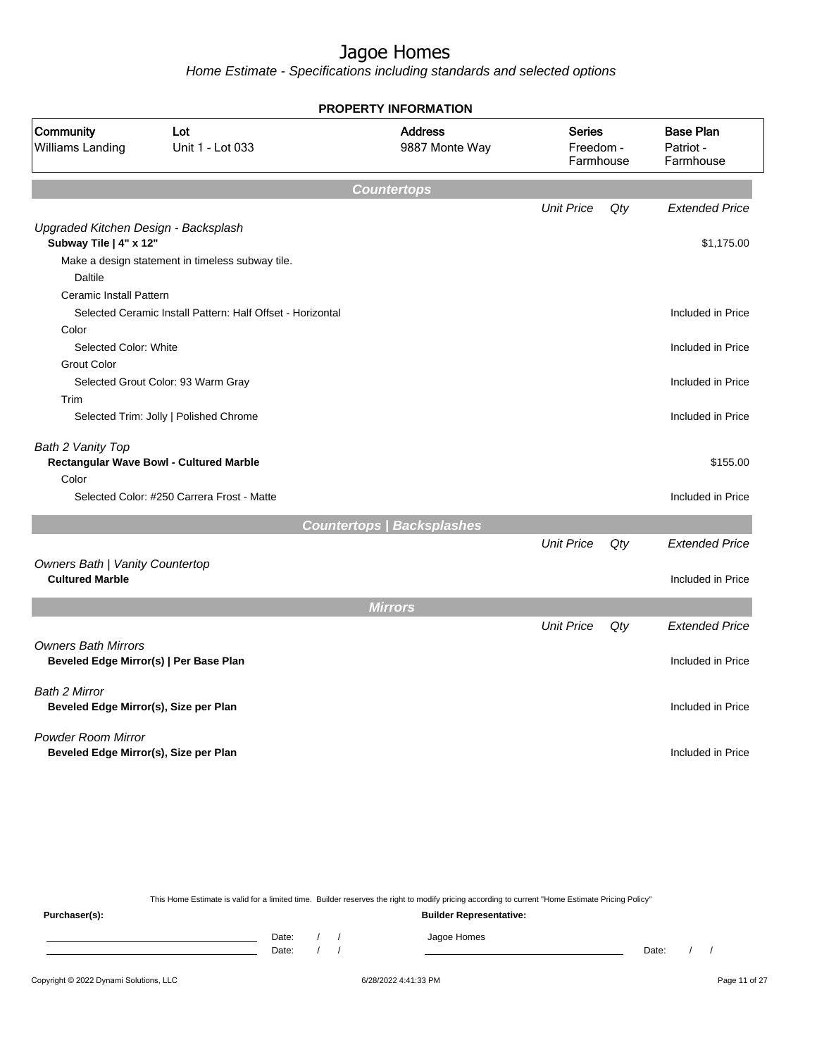Home Estimate - Specifications including standards and selected options

|                                                                    |                                                            | <b>PROPERTY INFORMATION</b>       |                                         |     |                                            |
|--------------------------------------------------------------------|------------------------------------------------------------|-----------------------------------|-----------------------------------------|-----|--------------------------------------------|
| Community<br><b>Williams Landing</b>                               | Lot<br>Unit 1 - Lot 033                                    | <b>Address</b><br>9887 Monte Way  | <b>Series</b><br>Freedom -<br>Farmhouse |     | <b>Base Plan</b><br>Patriot -<br>Farmhouse |
|                                                                    |                                                            | <b>Countertops</b>                |                                         |     |                                            |
|                                                                    |                                                            |                                   | <b>Unit Price</b>                       | Qty | <b>Extended Price</b>                      |
| Upgraded Kitchen Design - Backsplash<br>Subway Tile   4" x 12"     |                                                            |                                   |                                         |     | \$1,175.00                                 |
|                                                                    | Make a design statement in timeless subway tile.           |                                   |                                         |     |                                            |
| <b>Daltile</b>                                                     |                                                            |                                   |                                         |     |                                            |
| <b>Ceramic Install Pattern</b>                                     |                                                            |                                   |                                         |     |                                            |
|                                                                    | Selected Ceramic Install Pattern: Half Offset - Horizontal |                                   |                                         |     | Included in Price                          |
| Color                                                              |                                                            |                                   |                                         |     |                                            |
| Selected Color: White                                              |                                                            |                                   |                                         |     | Included in Price                          |
| <b>Grout Color</b>                                                 |                                                            |                                   |                                         |     |                                            |
|                                                                    | Selected Grout Color: 93 Warm Gray                         |                                   |                                         |     | Included in Price                          |
| Trim                                                               |                                                            |                                   |                                         |     |                                            |
|                                                                    | Selected Trim: Jolly   Polished Chrome                     |                                   |                                         |     | Included in Price                          |
| Bath 2 Vanity Top                                                  | Rectangular Wave Bowl - Cultured Marble                    |                                   |                                         |     | \$155.00                                   |
| Color                                                              |                                                            |                                   |                                         |     |                                            |
|                                                                    | Selected Color: #250 Carrera Frost - Matte                 |                                   |                                         |     | Included in Price                          |
|                                                                    |                                                            | <b>Countertops / Backsplashes</b> |                                         |     |                                            |
|                                                                    |                                                            |                                   | <b>Unit Price</b>                       | Qty | <b>Extended Price</b>                      |
| Owners Bath   Vanity Countertop                                    |                                                            |                                   |                                         |     |                                            |
| <b>Cultured Marble</b>                                             |                                                            |                                   |                                         |     | Included in Price                          |
|                                                                    |                                                            | <b>Mirrors</b>                    |                                         |     |                                            |
|                                                                    |                                                            |                                   | <b>Unit Price</b>                       | Qty | <b>Extended Price</b>                      |
| <b>Owners Bath Mirrors</b>                                         | Beveled Edge Mirror(s)   Per Base Plan                     |                                   |                                         |     | Included in Price                          |
|                                                                    |                                                            |                                   |                                         |     |                                            |
| Bath 2 Mirror<br>Beveled Edge Mirror(s), Size per Plan             |                                                            |                                   |                                         |     | Included in Price                          |
| <b>Powder Room Mirror</b><br>Beveled Edge Mirror(s), Size per Plan |                                                            |                                   |                                         |     | Included in Price                          |
|                                                                    |                                                            |                                   |                                         |     |                                            |

This Home Estimate is valid for a limited time. Builder reserves the right to modify pricing according to current "Home Estimate Pricing Policy"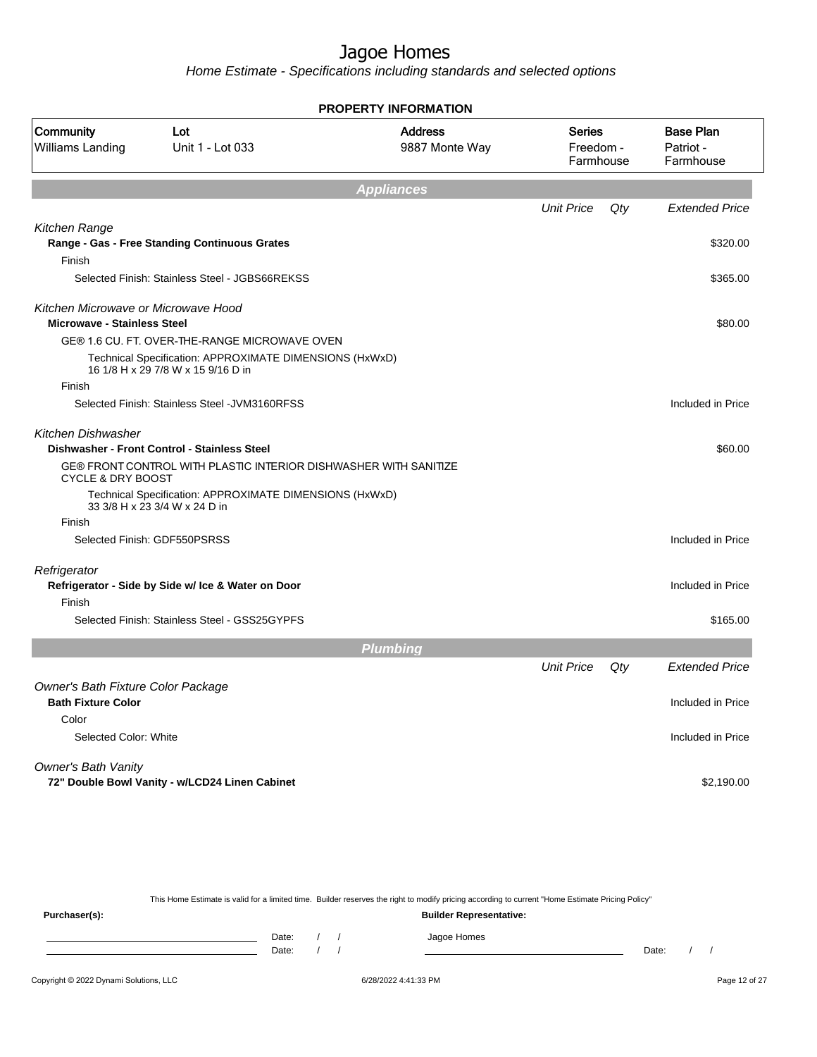Home Estimate - Specifications including standards and selected options

|                                                                           | <b>PROPERTY INFORMATION</b>                                                                   |                                  |                                         |     |                                            |  |  |  |
|---------------------------------------------------------------------------|-----------------------------------------------------------------------------------------------|----------------------------------|-----------------------------------------|-----|--------------------------------------------|--|--|--|
| Community<br>Williams Landing                                             | Lot<br>Unit 1 - Lot 033                                                                       | <b>Address</b><br>9887 Monte Way | <b>Series</b><br>Freedom -<br>Farmhouse |     | <b>Base Plan</b><br>Patriot -<br>Farmhouse |  |  |  |
|                                                                           |                                                                                               | <b>Appliances</b>                |                                         |     |                                            |  |  |  |
|                                                                           |                                                                                               |                                  | <b>Unit Price</b>                       | Qty | <b>Extended Price</b>                      |  |  |  |
| Kitchen Range                                                             |                                                                                               |                                  |                                         |     |                                            |  |  |  |
|                                                                           | Range - Gas - Free Standing Continuous Grates                                                 |                                  |                                         |     | \$320.00                                   |  |  |  |
| Finish                                                                    | Selected Finish: Stainless Steel - JGBS66REKSS                                                |                                  |                                         |     | \$365.00                                   |  |  |  |
| Kitchen Microwave or Microwave Hood<br><b>Microwave - Stainless Steel</b> |                                                                                               |                                  |                                         |     | \$80.00                                    |  |  |  |
|                                                                           | GE® 1.6 CU. FT. OVER-THE-RANGE MICROWAVE OVEN                                                 |                                  |                                         |     |                                            |  |  |  |
|                                                                           | Technical Specification: APPROXIMATE DIMENSIONS (HxWxD)<br>16 1/8 H x 29 7/8 W x 15 9/16 D in |                                  |                                         |     |                                            |  |  |  |
| Finish                                                                    |                                                                                               |                                  |                                         |     |                                            |  |  |  |
|                                                                           | Selected Finish: Stainless Steel - JVM3160RFSS                                                |                                  |                                         |     | Included in Price                          |  |  |  |
| Kitchen Dishwasher                                                        |                                                                                               |                                  |                                         |     |                                            |  |  |  |
|                                                                           | Dishwasher - Front Control - Stainless Steel                                                  |                                  |                                         |     | \$60.00                                    |  |  |  |
| <b>CYCLE &amp; DRY BOOST</b>                                              | GE® FRONT CONTROL WITH PLASTIC INTERIOR DISHWASHER WITH SANITIZE                              |                                  |                                         |     |                                            |  |  |  |
|                                                                           | Technical Specification: APPROXIMATE DIMENSIONS (HxWxD)<br>33 3/8 H x 23 3/4 W x 24 D in      |                                  |                                         |     |                                            |  |  |  |
| Finish                                                                    |                                                                                               |                                  |                                         |     |                                            |  |  |  |
|                                                                           | Selected Finish: GDF550PSRSS                                                                  |                                  |                                         |     | Included in Price                          |  |  |  |
| Refrigerator                                                              |                                                                                               |                                  |                                         |     |                                            |  |  |  |
|                                                                           | Refrigerator - Side by Side w/ Ice & Water on Door                                            |                                  |                                         |     | Included in Price                          |  |  |  |
| Finish                                                                    | Selected Finish: Stainless Steel - GSS25GYPFS                                                 |                                  |                                         |     | \$165.00                                   |  |  |  |
|                                                                           |                                                                                               |                                  |                                         |     |                                            |  |  |  |
|                                                                           |                                                                                               | <b>Plumbing</b>                  |                                         |     |                                            |  |  |  |
|                                                                           |                                                                                               |                                  | <b>Unit Price</b>                       | Qty | <b>Extended Price</b>                      |  |  |  |
| Owner's Bath Fixture Color Package<br><b>Bath Fixture Color</b>           |                                                                                               |                                  |                                         |     | Included in Price                          |  |  |  |
| Color                                                                     |                                                                                               |                                  |                                         |     |                                            |  |  |  |
| Selected Color: White                                                     |                                                                                               |                                  |                                         |     | Included in Price                          |  |  |  |
| Owner's Bath Vanity                                                       |                                                                                               |                                  |                                         |     |                                            |  |  |  |
|                                                                           | 72" Double Bowl Vanity - w/LCD24 Linen Cabinet                                                |                                  |                                         |     | \$2,190.00                                 |  |  |  |
|                                                                           |                                                                                               |                                  |                                         |     |                                            |  |  |  |

This Home Estimate is valid for a limited time. Builder reserves the right to modify pricing according to current "Home Estimate Pricing Policy" **Purchaser(s): Builder Representative:** Date: / / Jagoe Homes<br>Date: / / Jagoe Homes Date: / / Date: / /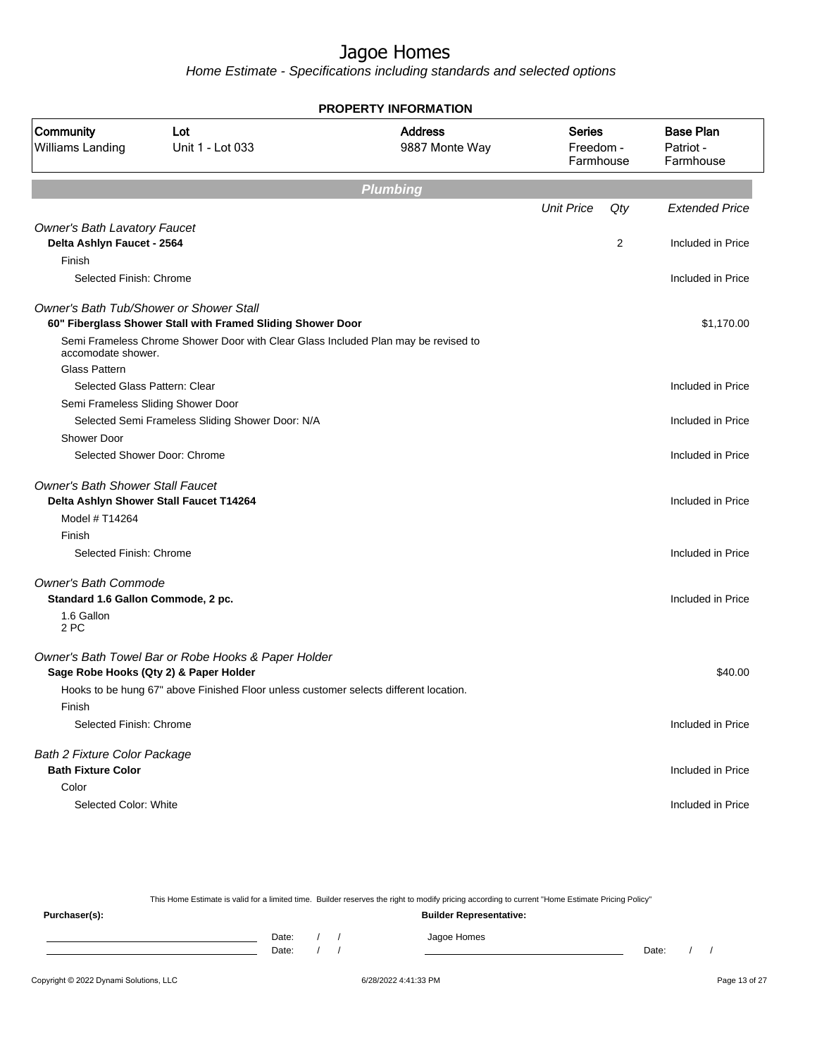Home Estimate - Specifications including standards and selected options

| <b>Base Plan</b><br><b>Address</b><br><b>Series</b><br><b>Community</b><br>Lot<br>Williams Landing<br>Unit 1 - Lot 033<br>9887 Monte Way<br>Freedom -<br>Patriot -<br>Farmhouse<br>Farmhouse<br><b>Plumbing</b><br><b>Unit Price</b><br>Qty<br><b>Extended Price</b><br><b>Owner's Bath Lavatory Faucet</b><br>Delta Ashlyn Faucet - 2564<br>2<br>Included in Price<br>Finish<br>Selected Finish: Chrome<br>Included in Price<br>Owner's Bath Tub/Shower or Shower Stall<br>60" Fiberglass Shower Stall with Framed Sliding Shower Door<br>\$1,170.00<br>Semi Frameless Chrome Shower Door with Clear Glass Included Plan may be revised to<br>accomodate shower.<br><b>Glass Pattern</b><br>Selected Glass Pattern: Clear<br>Included in Price<br>Semi Frameless Sliding Shower Door<br>Selected Semi Frameless Sliding Shower Door: N/A<br>Included in Price<br><b>Shower Door</b><br>Selected Shower Door: Chrome<br>Included in Price<br><b>Owner's Bath Shower Stall Faucet</b><br>Delta Ashlyn Shower Stall Faucet T14264<br>Included in Price<br>Model # T14264<br>Finish<br>Selected Finish: Chrome<br>Included in Price<br><b>Owner's Bath Commode</b><br>Standard 1.6 Gallon Commode, 2 pc.<br>Included in Price<br>1.6 Gallon<br>2 PC<br>Owner's Bath Towel Bar or Robe Hooks & Paper Holder<br>Sage Robe Hooks (Qty 2) & Paper Holder<br>\$40.00<br>Hooks to be hung 67" above Finished Floor unless customer selects different location.<br>Finish<br>Selected Finish: Chrome<br>Included in Price<br><b>Bath 2 Fixture Color Package</b><br><b>Bath Fixture Color</b><br>Included in Price<br>Color<br>Selected Color: White<br>Included in Price | <b>PROPERTY INFORMATION</b> |  |  |  |  |  |  |  |
|-----------------------------------------------------------------------------------------------------------------------------------------------------------------------------------------------------------------------------------------------------------------------------------------------------------------------------------------------------------------------------------------------------------------------------------------------------------------------------------------------------------------------------------------------------------------------------------------------------------------------------------------------------------------------------------------------------------------------------------------------------------------------------------------------------------------------------------------------------------------------------------------------------------------------------------------------------------------------------------------------------------------------------------------------------------------------------------------------------------------------------------------------------------------------------------------------------------------------------------------------------------------------------------------------------------------------------------------------------------------------------------------------------------------------------------------------------------------------------------------------------------------------------------------------------------------------------------------------------------------------------------------------------------------|-----------------------------|--|--|--|--|--|--|--|
|                                                                                                                                                                                                                                                                                                                                                                                                                                                                                                                                                                                                                                                                                                                                                                                                                                                                                                                                                                                                                                                                                                                                                                                                                                                                                                                                                                                                                                                                                                                                                                                                                                                                 |                             |  |  |  |  |  |  |  |
|                                                                                                                                                                                                                                                                                                                                                                                                                                                                                                                                                                                                                                                                                                                                                                                                                                                                                                                                                                                                                                                                                                                                                                                                                                                                                                                                                                                                                                                                                                                                                                                                                                                                 |                             |  |  |  |  |  |  |  |
|                                                                                                                                                                                                                                                                                                                                                                                                                                                                                                                                                                                                                                                                                                                                                                                                                                                                                                                                                                                                                                                                                                                                                                                                                                                                                                                                                                                                                                                                                                                                                                                                                                                                 |                             |  |  |  |  |  |  |  |
|                                                                                                                                                                                                                                                                                                                                                                                                                                                                                                                                                                                                                                                                                                                                                                                                                                                                                                                                                                                                                                                                                                                                                                                                                                                                                                                                                                                                                                                                                                                                                                                                                                                                 |                             |  |  |  |  |  |  |  |
|                                                                                                                                                                                                                                                                                                                                                                                                                                                                                                                                                                                                                                                                                                                                                                                                                                                                                                                                                                                                                                                                                                                                                                                                                                                                                                                                                                                                                                                                                                                                                                                                                                                                 |                             |  |  |  |  |  |  |  |
|                                                                                                                                                                                                                                                                                                                                                                                                                                                                                                                                                                                                                                                                                                                                                                                                                                                                                                                                                                                                                                                                                                                                                                                                                                                                                                                                                                                                                                                                                                                                                                                                                                                                 |                             |  |  |  |  |  |  |  |
|                                                                                                                                                                                                                                                                                                                                                                                                                                                                                                                                                                                                                                                                                                                                                                                                                                                                                                                                                                                                                                                                                                                                                                                                                                                                                                                                                                                                                                                                                                                                                                                                                                                                 |                             |  |  |  |  |  |  |  |
|                                                                                                                                                                                                                                                                                                                                                                                                                                                                                                                                                                                                                                                                                                                                                                                                                                                                                                                                                                                                                                                                                                                                                                                                                                                                                                                                                                                                                                                                                                                                                                                                                                                                 |                             |  |  |  |  |  |  |  |
|                                                                                                                                                                                                                                                                                                                                                                                                                                                                                                                                                                                                                                                                                                                                                                                                                                                                                                                                                                                                                                                                                                                                                                                                                                                                                                                                                                                                                                                                                                                                                                                                                                                                 |                             |  |  |  |  |  |  |  |
|                                                                                                                                                                                                                                                                                                                                                                                                                                                                                                                                                                                                                                                                                                                                                                                                                                                                                                                                                                                                                                                                                                                                                                                                                                                                                                                                                                                                                                                                                                                                                                                                                                                                 |                             |  |  |  |  |  |  |  |
|                                                                                                                                                                                                                                                                                                                                                                                                                                                                                                                                                                                                                                                                                                                                                                                                                                                                                                                                                                                                                                                                                                                                                                                                                                                                                                                                                                                                                                                                                                                                                                                                                                                                 |                             |  |  |  |  |  |  |  |
|                                                                                                                                                                                                                                                                                                                                                                                                                                                                                                                                                                                                                                                                                                                                                                                                                                                                                                                                                                                                                                                                                                                                                                                                                                                                                                                                                                                                                                                                                                                                                                                                                                                                 |                             |  |  |  |  |  |  |  |
|                                                                                                                                                                                                                                                                                                                                                                                                                                                                                                                                                                                                                                                                                                                                                                                                                                                                                                                                                                                                                                                                                                                                                                                                                                                                                                                                                                                                                                                                                                                                                                                                                                                                 |                             |  |  |  |  |  |  |  |
|                                                                                                                                                                                                                                                                                                                                                                                                                                                                                                                                                                                                                                                                                                                                                                                                                                                                                                                                                                                                                                                                                                                                                                                                                                                                                                                                                                                                                                                                                                                                                                                                                                                                 |                             |  |  |  |  |  |  |  |
|                                                                                                                                                                                                                                                                                                                                                                                                                                                                                                                                                                                                                                                                                                                                                                                                                                                                                                                                                                                                                                                                                                                                                                                                                                                                                                                                                                                                                                                                                                                                                                                                                                                                 |                             |  |  |  |  |  |  |  |
|                                                                                                                                                                                                                                                                                                                                                                                                                                                                                                                                                                                                                                                                                                                                                                                                                                                                                                                                                                                                                                                                                                                                                                                                                                                                                                                                                                                                                                                                                                                                                                                                                                                                 |                             |  |  |  |  |  |  |  |
|                                                                                                                                                                                                                                                                                                                                                                                                                                                                                                                                                                                                                                                                                                                                                                                                                                                                                                                                                                                                                                                                                                                                                                                                                                                                                                                                                                                                                                                                                                                                                                                                                                                                 |                             |  |  |  |  |  |  |  |
|                                                                                                                                                                                                                                                                                                                                                                                                                                                                                                                                                                                                                                                                                                                                                                                                                                                                                                                                                                                                                                                                                                                                                                                                                                                                                                                                                                                                                                                                                                                                                                                                                                                                 |                             |  |  |  |  |  |  |  |
|                                                                                                                                                                                                                                                                                                                                                                                                                                                                                                                                                                                                                                                                                                                                                                                                                                                                                                                                                                                                                                                                                                                                                                                                                                                                                                                                                                                                                                                                                                                                                                                                                                                                 |                             |  |  |  |  |  |  |  |
|                                                                                                                                                                                                                                                                                                                                                                                                                                                                                                                                                                                                                                                                                                                                                                                                                                                                                                                                                                                                                                                                                                                                                                                                                                                                                                                                                                                                                                                                                                                                                                                                                                                                 |                             |  |  |  |  |  |  |  |
|                                                                                                                                                                                                                                                                                                                                                                                                                                                                                                                                                                                                                                                                                                                                                                                                                                                                                                                                                                                                                                                                                                                                                                                                                                                                                                                                                                                                                                                                                                                                                                                                                                                                 |                             |  |  |  |  |  |  |  |
|                                                                                                                                                                                                                                                                                                                                                                                                                                                                                                                                                                                                                                                                                                                                                                                                                                                                                                                                                                                                                                                                                                                                                                                                                                                                                                                                                                                                                                                                                                                                                                                                                                                                 |                             |  |  |  |  |  |  |  |
|                                                                                                                                                                                                                                                                                                                                                                                                                                                                                                                                                                                                                                                                                                                                                                                                                                                                                                                                                                                                                                                                                                                                                                                                                                                                                                                                                                                                                                                                                                                                                                                                                                                                 |                             |  |  |  |  |  |  |  |
|                                                                                                                                                                                                                                                                                                                                                                                                                                                                                                                                                                                                                                                                                                                                                                                                                                                                                                                                                                                                                                                                                                                                                                                                                                                                                                                                                                                                                                                                                                                                                                                                                                                                 |                             |  |  |  |  |  |  |  |
|                                                                                                                                                                                                                                                                                                                                                                                                                                                                                                                                                                                                                                                                                                                                                                                                                                                                                                                                                                                                                                                                                                                                                                                                                                                                                                                                                                                                                                                                                                                                                                                                                                                                 |                             |  |  |  |  |  |  |  |
|                                                                                                                                                                                                                                                                                                                                                                                                                                                                                                                                                                                                                                                                                                                                                                                                                                                                                                                                                                                                                                                                                                                                                                                                                                                                                                                                                                                                                                                                                                                                                                                                                                                                 |                             |  |  |  |  |  |  |  |
|                                                                                                                                                                                                                                                                                                                                                                                                                                                                                                                                                                                                                                                                                                                                                                                                                                                                                                                                                                                                                                                                                                                                                                                                                                                                                                                                                                                                                                                                                                                                                                                                                                                                 |                             |  |  |  |  |  |  |  |
|                                                                                                                                                                                                                                                                                                                                                                                                                                                                                                                                                                                                                                                                                                                                                                                                                                                                                                                                                                                                                                                                                                                                                                                                                                                                                                                                                                                                                                                                                                                                                                                                                                                                 |                             |  |  |  |  |  |  |  |
|                                                                                                                                                                                                                                                                                                                                                                                                                                                                                                                                                                                                                                                                                                                                                                                                                                                                                                                                                                                                                                                                                                                                                                                                                                                                                                                                                                                                                                                                                                                                                                                                                                                                 |                             |  |  |  |  |  |  |  |
|                                                                                                                                                                                                                                                                                                                                                                                                                                                                                                                                                                                                                                                                                                                                                                                                                                                                                                                                                                                                                                                                                                                                                                                                                                                                                                                                                                                                                                                                                                                                                                                                                                                                 |                             |  |  |  |  |  |  |  |

This Home Estimate is valid for a limited time. Builder reserves the right to modify pricing according to current "Home Estimate Pricing Policy" **Purchaser(s): Builder Representative:** Date: / / Jagoe Homes<br>Date: / / Jagoe Homes Date: / / Date: / /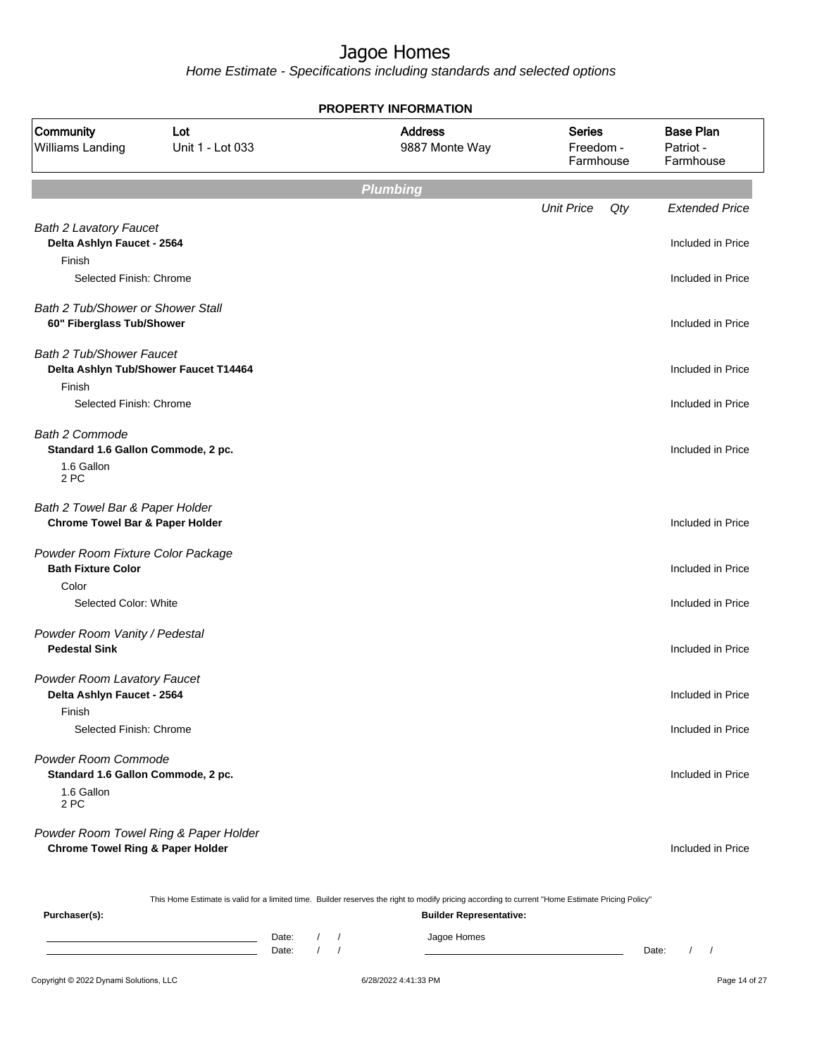Home Estimate - Specifications including standards and selected options

|                                                                                      | <b>PROPERTY INFORMATION</b> |                                  |                                         |     |                                            |  |  |  |  |
|--------------------------------------------------------------------------------------|-----------------------------|----------------------------------|-----------------------------------------|-----|--------------------------------------------|--|--|--|--|
| Community<br>Williams Landing                                                        | Lot<br>Unit 1 - Lot 033     | <b>Address</b><br>9887 Monte Way | <b>Series</b><br>Freedom -<br>Farmhouse |     | <b>Base Plan</b><br>Patriot -<br>Farmhouse |  |  |  |  |
|                                                                                      |                             | <b>Plumbing</b>                  |                                         |     |                                            |  |  |  |  |
|                                                                                      |                             |                                  | <b>Unit Price</b>                       | Qty | <b>Extended Price</b>                      |  |  |  |  |
| <b>Bath 2 Lavatory Faucet</b><br>Delta Ashlyn Faucet - 2564<br>Finish                |                             |                                  |                                         |     | Included in Price                          |  |  |  |  |
| Selected Finish: Chrome                                                              |                             |                                  |                                         |     | Included in Price                          |  |  |  |  |
| Bath 2 Tub/Shower or Shower Stall<br>60" Fiberglass Tub/Shower                       |                             |                                  |                                         |     | Included in Price                          |  |  |  |  |
| <b>Bath 2 Tub/Shower Faucet</b><br>Delta Ashlyn Tub/Shower Faucet T14464             |                             |                                  |                                         |     | Included in Price                          |  |  |  |  |
| Finish<br>Selected Finish: Chrome                                                    |                             |                                  |                                         |     | Included in Price                          |  |  |  |  |
| <b>Bath 2 Commode</b><br>Standard 1.6 Gallon Commode, 2 pc.<br>1.6 Gallon            |                             |                                  |                                         |     | Included in Price                          |  |  |  |  |
| 2 PC                                                                                 |                             |                                  |                                         |     |                                            |  |  |  |  |
| Bath 2 Towel Bar & Paper Holder<br><b>Chrome Towel Bar &amp; Paper Holder</b>        |                             |                                  |                                         |     | Included in Price                          |  |  |  |  |
| Powder Room Fixture Color Package<br><b>Bath Fixture Color</b>                       |                             |                                  |                                         |     | Included in Price                          |  |  |  |  |
| Color<br>Selected Color: White                                                       |                             |                                  |                                         |     | Included in Price                          |  |  |  |  |
| Powder Room Vanity / Pedestal<br><b>Pedestal Sink</b>                                |                             |                                  |                                         |     | Included in Price                          |  |  |  |  |
| Powder Room Lavatory Faucet<br>Delta Ashlyn Faucet - 2564<br>Finish                  |                             |                                  |                                         |     | Included in Price                          |  |  |  |  |
| Selected Finish: Chrome                                                              |                             |                                  |                                         |     | Included in Price                          |  |  |  |  |
| Powder Room Commode<br>Standard 1.6 Gallon Commode, 2 pc.<br>1.6 Gallon<br>2 PC      |                             |                                  |                                         |     | Included in Price                          |  |  |  |  |
| Powder Room Towel Ring & Paper Holder<br><b>Chrome Towel Ring &amp; Paper Holder</b> |                             |                                  |                                         |     | Included in Price                          |  |  |  |  |

This Home Estimate is valid for a limited time. Builder reserves the right to modify pricing according to current "Home Estimate Pricing Policy"

**Purchaser(s): Builder Representative:** Date: / / Jagoe Homes<br>Date: / / Jagoe Homes Date: / / **Date: / / 2006** Date: / / / Date: / / /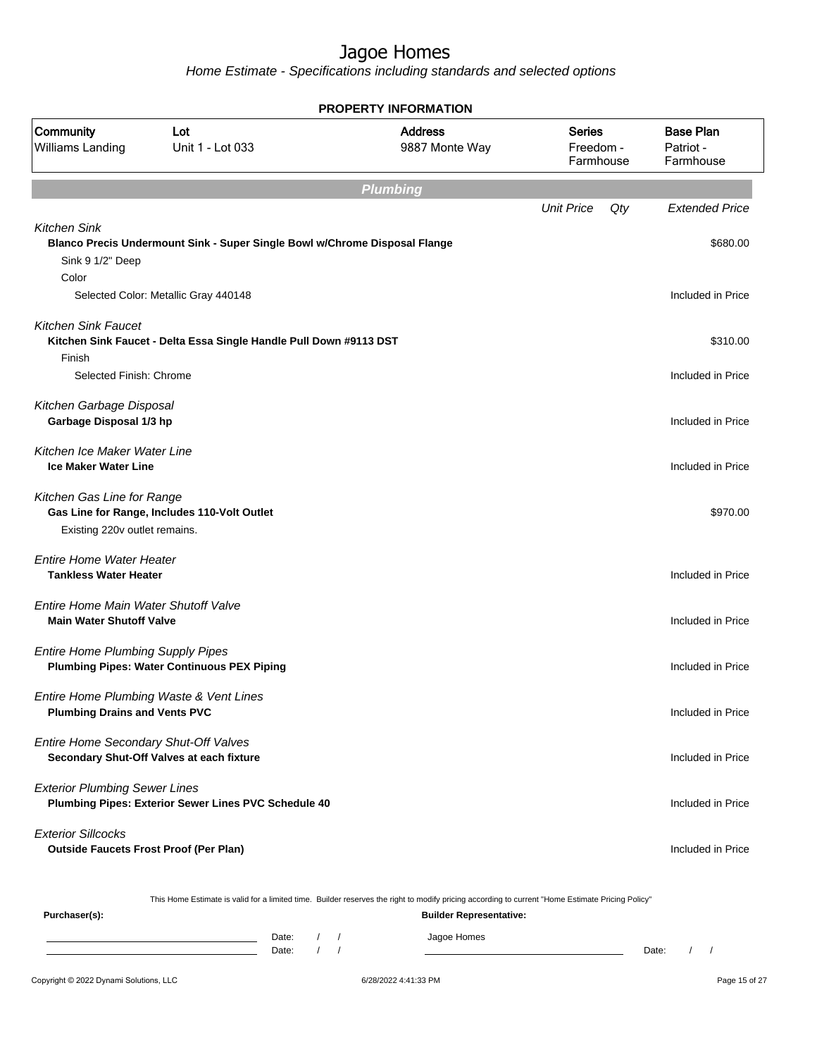Home Estimate - Specifications including standards and selected options

| <b>PROPERTY INFORMATION</b>                                                |                                                                                                                    |                                                                                                                                                  |                                         |                                            |  |  |
|----------------------------------------------------------------------------|--------------------------------------------------------------------------------------------------------------------|--------------------------------------------------------------------------------------------------------------------------------------------------|-----------------------------------------|--------------------------------------------|--|--|
| Community<br>Williams Landing                                              | Lot<br>Unit 1 - Lot 033                                                                                            | <b>Address</b><br>9887 Monte Way                                                                                                                 | <b>Series</b><br>Freedom -<br>Farmhouse | <b>Base Plan</b><br>Patriot -<br>Farmhouse |  |  |
|                                                                            |                                                                                                                    | <b>Plumbing</b>                                                                                                                                  |                                         |                                            |  |  |
|                                                                            |                                                                                                                    |                                                                                                                                                  | <b>Unit Price</b><br>Qty                | <b>Extended Price</b>                      |  |  |
| <b>Kitchen Sink</b><br>Sink 9 1/2" Deep<br>Color                           | Blanco Precis Undermount Sink - Super Single Bowl w/Chrome Disposal Flange<br>Selected Color: Metallic Gray 440148 |                                                                                                                                                  |                                         | \$680.00<br>Included in Price              |  |  |
|                                                                            |                                                                                                                    |                                                                                                                                                  |                                         |                                            |  |  |
| <b>Kitchen Sink Faucet</b><br>Finish<br>Selected Finish: Chrome            | Kitchen Sink Faucet - Delta Essa Single Handle Pull Down #9113 DST                                                 |                                                                                                                                                  |                                         | \$310.00<br>Included in Price              |  |  |
|                                                                            |                                                                                                                    |                                                                                                                                                  |                                         |                                            |  |  |
| Kitchen Garbage Disposal<br>Garbage Disposal 1/3 hp                        |                                                                                                                    |                                                                                                                                                  |                                         | Included in Price                          |  |  |
| Kitchen Ice Maker Water Line<br><b>Ice Maker Water Line</b>                |                                                                                                                    |                                                                                                                                                  |                                         | Included in Price                          |  |  |
| Kitchen Gas Line for Range<br>Existing 220v outlet remains.                | Gas Line for Range, Includes 110-Volt Outlet                                                                       |                                                                                                                                                  |                                         | \$970.00                                   |  |  |
| <b>Entire Home Water Heater</b><br><b>Tankless Water Heater</b>            |                                                                                                                    |                                                                                                                                                  |                                         | Included in Price                          |  |  |
| Entire Home Main Water Shutoff Valve<br><b>Main Water Shutoff Valve</b>    |                                                                                                                    |                                                                                                                                                  |                                         | Included in Price                          |  |  |
| <b>Entire Home Plumbing Supply Pipes</b>                                   | <b>Plumbing Pipes: Water Continuous PEX Piping</b>                                                                 |                                                                                                                                                  |                                         | Included in Price                          |  |  |
| <b>Plumbing Drains and Vents PVC</b>                                       | Entire Home Plumbing Waste & Vent Lines                                                                            |                                                                                                                                                  |                                         | Included in Price                          |  |  |
| Entire Home Secondary Shut-Off Valves                                      | Secondary Shut-Off Valves at each fixture                                                                          |                                                                                                                                                  |                                         | Included in Price                          |  |  |
| <b>Exterior Plumbing Sewer Lines</b>                                       | Plumbing Pipes: Exterior Sewer Lines PVC Schedule 40                                                               |                                                                                                                                                  |                                         | Included in Price                          |  |  |
| <b>Exterior Sillcocks</b><br><b>Outside Faucets Frost Proof (Per Plan)</b> |                                                                                                                    |                                                                                                                                                  |                                         | Included in Price                          |  |  |
|                                                                            |                                                                                                                    | This Home Estimate is valid for a limited time. Builder reserves the right to modify pricing according to current "Home Estimate Pricing Policy" |                                         |                                            |  |  |
| Purchaser(s):                                                              |                                                                                                                    | <b>Builder Representative:</b>                                                                                                                   |                                         |                                            |  |  |

Date: / / Jagoe Homes<br>Date: / / Jagoe Homes Date: / / Date: / /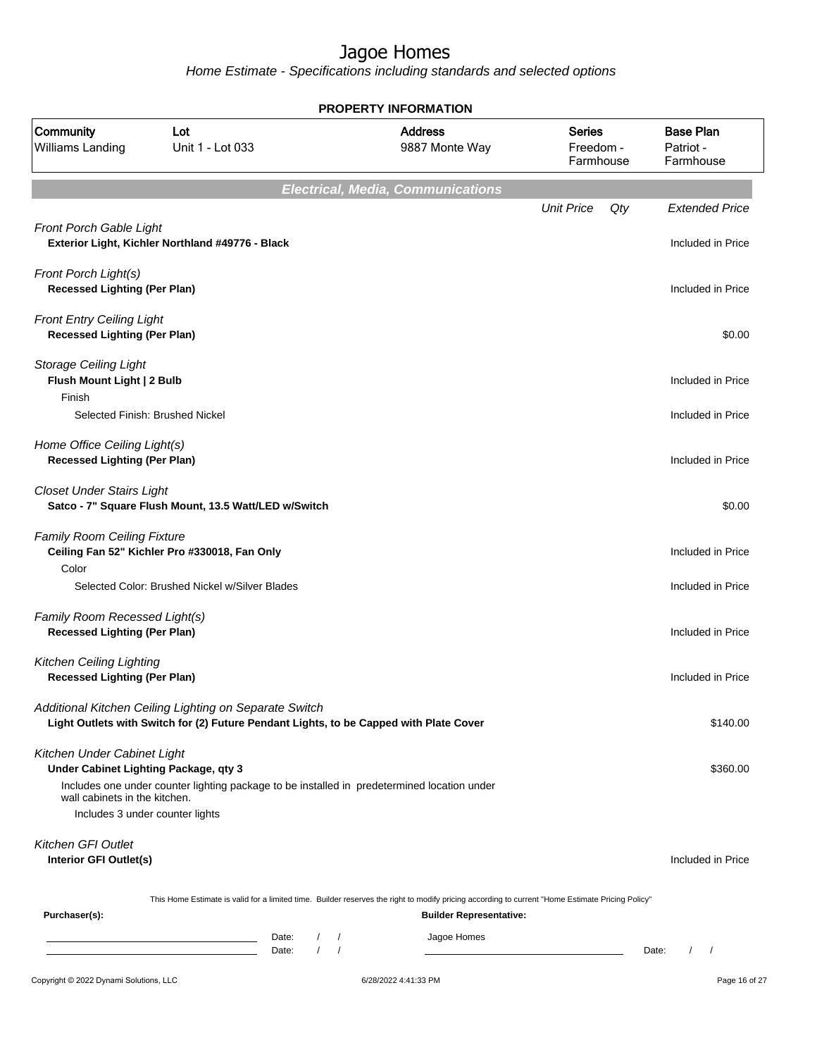|                                                                                                                                          | <b>PROPERTY INFORMATION</b>                                                                                                                      |                                                |                                          |                                         |                                               |  |  |
|------------------------------------------------------------------------------------------------------------------------------------------|--------------------------------------------------------------------------------------------------------------------------------------------------|------------------------------------------------|------------------------------------------|-----------------------------------------|-----------------------------------------------|--|--|
| Community<br>Williams Landing                                                                                                            | Lot<br>Unit 1 - Lot 033                                                                                                                          |                                                | <b>Address</b><br>9887 Monte Way         | <b>Series</b><br>Freedom -<br>Farmhouse | <b>Base Plan</b><br>Patriot -<br>Farmhouse    |  |  |
|                                                                                                                                          |                                                                                                                                                  |                                                | <b>Electrical, Media, Communications</b> |                                         |                                               |  |  |
| Front Porch Gable Light                                                                                                                  | Exterior Light, Kichler Northland #49776 - Black                                                                                                 |                                                |                                          | <b>Unit Price</b><br>Qty                | <b>Extended Price</b><br>Included in Price    |  |  |
| Front Porch Light(s)<br><b>Recessed Lighting (Per Plan)</b>                                                                              |                                                                                                                                                  |                                                |                                          |                                         | Included in Price                             |  |  |
| <b>Front Entry Ceiling Light</b><br><b>Recessed Lighting (Per Plan)</b>                                                                  |                                                                                                                                                  |                                                |                                          |                                         | \$0.00                                        |  |  |
| <b>Storage Ceiling Light</b><br>Flush Mount Light   2 Bulb<br>Finish                                                                     |                                                                                                                                                  |                                                |                                          |                                         | Included in Price                             |  |  |
|                                                                                                                                          | Selected Finish: Brushed Nickel                                                                                                                  |                                                |                                          |                                         | Included in Price                             |  |  |
| Home Office Ceiling Light(s)<br><b>Recessed Lighting (Per Plan)</b>                                                                      |                                                                                                                                                  |                                                |                                          |                                         | Included in Price                             |  |  |
| <b>Closet Under Stairs Light</b>                                                                                                         | Satco - 7" Square Flush Mount, 13.5 Watt/LED w/Switch                                                                                            |                                                |                                          |                                         | \$0.00                                        |  |  |
| <b>Family Room Ceiling Fixture</b><br>Color                                                                                              | Ceiling Fan 52" Kichler Pro #330018, Fan Only                                                                                                    |                                                |                                          |                                         | Included in Price                             |  |  |
|                                                                                                                                          | Selected Color: Brushed Nickel w/Silver Blades                                                                                                   |                                                |                                          |                                         | Included in Price                             |  |  |
| Family Room Recessed Light(s)<br><b>Recessed Lighting (Per Plan)</b>                                                                     |                                                                                                                                                  |                                                |                                          |                                         | Included in Price                             |  |  |
| <b>Kitchen Ceiling Lighting</b><br><b>Recessed Lighting (Per Plan)</b>                                                                   |                                                                                                                                                  |                                                |                                          |                                         | Included in Price                             |  |  |
|                                                                                                                                          | Additional Kitchen Ceiling Lighting on Separate Switch<br>Light Outlets with Switch for (2) Future Pendant Lights, to be Capped with Plate Cover |                                                |                                          |                                         | \$140.00                                      |  |  |
| Kitchen Under Cabinet Light<br>Under Cabinet Lighting Package, qty 3<br>wall cabinets in the kitchen.<br>Includes 3 under counter lights | Includes one under counter lighting package to be installed in predetermined location under                                                      |                                                |                                          |                                         | \$360.00                                      |  |  |
| <b>Kitchen GFI Outlet</b><br>Interior GFI Outlet(s)                                                                                      |                                                                                                                                                  |                                                |                                          |                                         | Included in Price                             |  |  |
|                                                                                                                                          | This Home Estimate is valid for a limited time. Builder reserves the right to modify pricing according to current "Home Estimate Pricing Policy" |                                                |                                          |                                         |                                               |  |  |
| Purchaser(s):                                                                                                                            |                                                                                                                                                  |                                                | <b>Builder Representative:</b>           |                                         |                                               |  |  |
|                                                                                                                                          | Date:<br>Date:                                                                                                                                   | $\sqrt{2}$<br>$\prime$<br>$\prime$<br>$\prime$ | Jagoe Homes                              |                                         | Date:<br>$\prime$<br>$\overline{\phantom{a}}$ |  |  |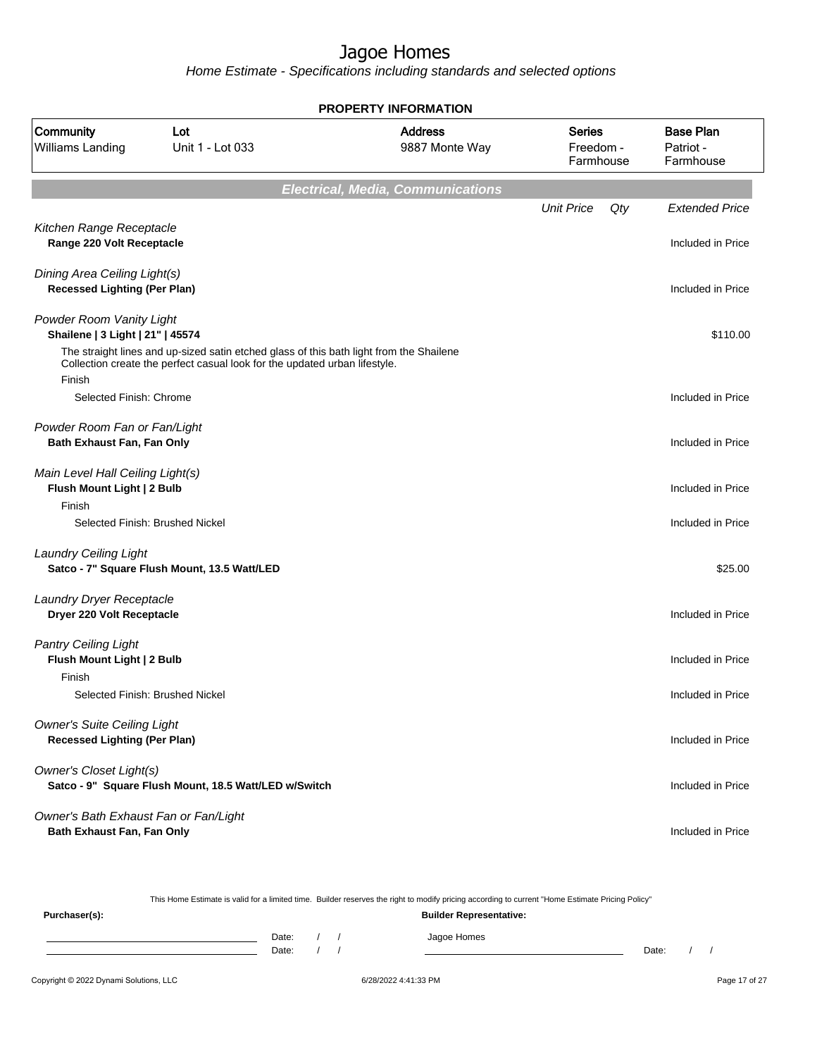Home Estimate - Specifications including standards and selected options

|                                                                           | <b>PROPERTY INFORMATION</b>                                                                                                                                           |                                          |                                         |                                            |  |  |  |
|---------------------------------------------------------------------------|-----------------------------------------------------------------------------------------------------------------------------------------------------------------------|------------------------------------------|-----------------------------------------|--------------------------------------------|--|--|--|
| Community<br>Williams Landing                                             | Lot<br>Unit 1 - Lot 033                                                                                                                                               | <b>Address</b><br>9887 Monte Way         | <b>Series</b><br>Freedom -<br>Farmhouse | <b>Base Plan</b><br>Patriot -<br>Farmhouse |  |  |  |
|                                                                           |                                                                                                                                                                       | <b>Electrical, Media, Communications</b> |                                         |                                            |  |  |  |
|                                                                           |                                                                                                                                                                       |                                          | <b>Unit Price</b><br>Qty                | <b>Extended Price</b>                      |  |  |  |
| Kitchen Range Receptacle<br>Range 220 Volt Receptacle                     |                                                                                                                                                                       |                                          |                                         | Included in Price                          |  |  |  |
| Dining Area Ceiling Light(s)<br><b>Recessed Lighting (Per Plan)</b>       |                                                                                                                                                                       |                                          |                                         | Included in Price                          |  |  |  |
| Powder Room Vanity Light<br>Shailene   3 Light   21"   45574              |                                                                                                                                                                       |                                          |                                         | \$110.00                                   |  |  |  |
| Finish                                                                    | The straight lines and up-sized satin etched glass of this bath light from the Shailene<br>Collection create the perfect casual look for the updated urban lifestyle. |                                          |                                         |                                            |  |  |  |
| Selected Finish: Chrome                                                   |                                                                                                                                                                       |                                          |                                         | Included in Price                          |  |  |  |
| Powder Room Fan or Fan/Light<br>Bath Exhaust Fan, Fan Only                |                                                                                                                                                                       |                                          |                                         | Included in Price                          |  |  |  |
| Main Level Hall Ceiling Light(s)<br>Flush Mount Light   2 Bulb<br>Finish  |                                                                                                                                                                       |                                          |                                         | Included in Price                          |  |  |  |
|                                                                           | Selected Finish: Brushed Nickel                                                                                                                                       |                                          |                                         | Included in Price                          |  |  |  |
| <b>Laundry Ceiling Light</b>                                              | Satco - 7" Square Flush Mount, 13.5 Watt/LED                                                                                                                          |                                          |                                         | \$25.00                                    |  |  |  |
| Laundry Dryer Receptacle<br>Dryer 220 Volt Receptacle                     |                                                                                                                                                                       |                                          |                                         | Included in Price                          |  |  |  |
| <b>Pantry Ceiling Light</b><br>Flush Mount Light   2 Bulb<br>Finish       |                                                                                                                                                                       |                                          |                                         | Included in Price                          |  |  |  |
|                                                                           | Selected Finish: Brushed Nickel                                                                                                                                       |                                          |                                         | Included in Price                          |  |  |  |
| <b>Owner's Suite Ceiling Light</b><br><b>Recessed Lighting (Per Plan)</b> |                                                                                                                                                                       |                                          |                                         | Included in Price                          |  |  |  |
| Owner's Closet Light(s)                                                   | Satco - 9" Square Flush Mount, 18.5 Watt/LED w/Switch                                                                                                                 |                                          |                                         | Included in Price                          |  |  |  |
| Owner's Bath Exhaust Fan or Fan/Light<br>Bath Exhaust Fan, Fan Only       |                                                                                                                                                                       |                                          |                                         | Included in Price                          |  |  |  |

This Home Estimate is valid for a limited time. Builder reserves the right to modify pricing according to current "Home Estimate Pricing Policy"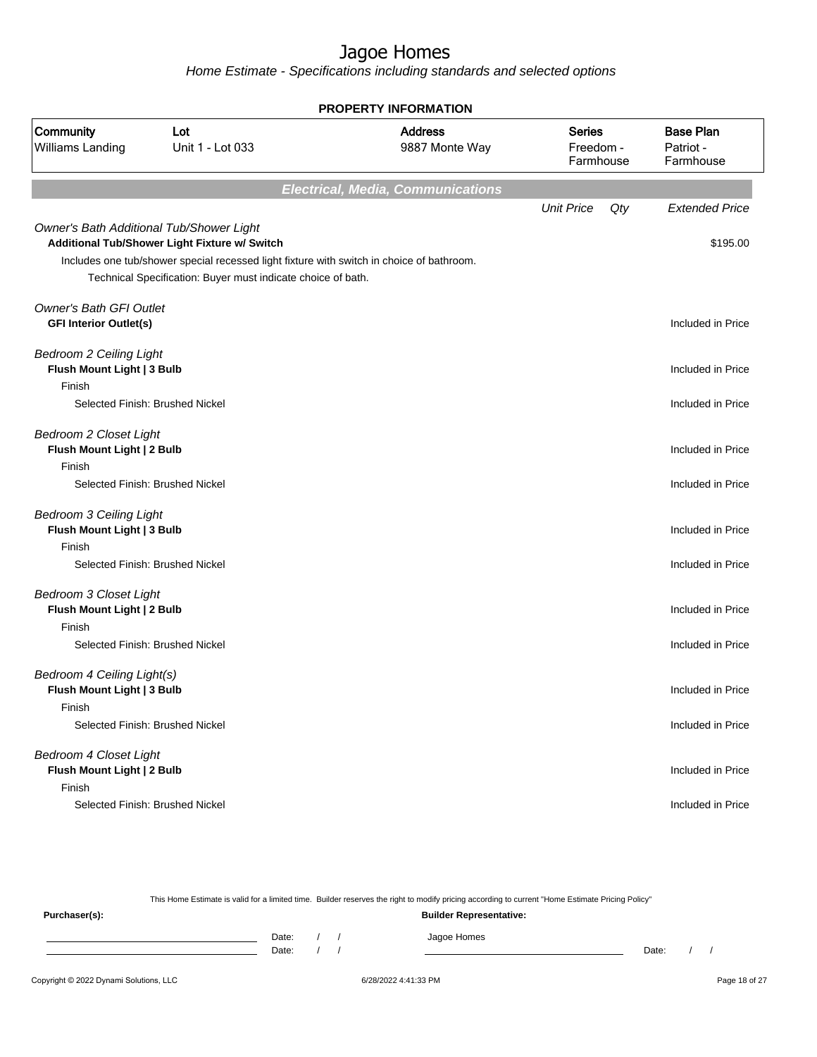Home Estimate - Specifications including standards and selected options

| <b>PROPERTY INFORMATION</b>                                                                               |                                                                                                                                                                                                            |                                          |                                         |                                            |  |  |  |
|-----------------------------------------------------------------------------------------------------------|------------------------------------------------------------------------------------------------------------------------------------------------------------------------------------------------------------|------------------------------------------|-----------------------------------------|--------------------------------------------|--|--|--|
| Community<br><b>Williams Landing</b>                                                                      | Lot<br>Unit 1 - Lot 033                                                                                                                                                                                    | <b>Address</b><br>9887 Monte Way         | <b>Series</b><br>Freedom -<br>Farmhouse | <b>Base Plan</b><br>Patriot -<br>Farmhouse |  |  |  |
|                                                                                                           |                                                                                                                                                                                                            | <b>Electrical, Media, Communications</b> |                                         |                                            |  |  |  |
| Owner's Bath Additional Tub/Shower Light                                                                  | Additional Tub/Shower Light Fixture w/ Switch<br>Includes one tub/shower special recessed light fixture with switch in choice of bathroom.<br>Technical Specification: Buyer must indicate choice of bath. |                                          | <b>Unit Price</b><br>Qty                | <b>Extended Price</b><br>\$195.00          |  |  |  |
| <b>Owner's Bath GFI Outlet</b><br><b>GFI Interior Outlet(s)</b>                                           |                                                                                                                                                                                                            |                                          |                                         | Included in Price                          |  |  |  |
| <b>Bedroom 2 Ceiling Light</b><br>Flush Mount Light   3 Bulb<br>Finish                                    |                                                                                                                                                                                                            |                                          |                                         | Included in Price                          |  |  |  |
| Selected Finish: Brushed Nickel                                                                           |                                                                                                                                                                                                            |                                          |                                         | Included in Price                          |  |  |  |
| <b>Bedroom 2 Closet Light</b><br>Flush Mount Light   2 Bulb<br>Finish<br>Selected Finish: Brushed Nickel  |                                                                                                                                                                                                            |                                          |                                         | Included in Price<br>Included in Price     |  |  |  |
| <b>Bedroom 3 Ceiling Light</b><br>Flush Mount Light   3 Bulb<br>Finish<br>Selected Finish: Brushed Nickel |                                                                                                                                                                                                            |                                          |                                         | Included in Price<br>Included in Price     |  |  |  |
| <b>Bedroom 3 Closet Light</b><br>Flush Mount Light   2 Bulb<br>Finish<br>Selected Finish: Brushed Nickel  |                                                                                                                                                                                                            |                                          |                                         | Included in Price<br>Included in Price     |  |  |  |
| Bedroom 4 Ceiling Light(s)<br>Flush Mount Light   3 Bulb<br>Finish<br>Selected Finish: Brushed Nickel     |                                                                                                                                                                                                            |                                          |                                         | Included in Price<br>Included in Price     |  |  |  |
| <b>Bedroom 4 Closet Light</b><br>Flush Mount Light   2 Bulb<br>Finish<br>Selected Finish: Brushed Nickel  |                                                                                                                                                                                                            |                                          |                                         | Included in Price<br>Included in Price     |  |  |  |

This Home Estimate is valid for a limited time. Builder reserves the right to modify pricing according to current "Home Estimate Pricing Policy" **Purchaser(s): Builder Representative:** Date: / / Jagoe Homes<br>Date: / / Jagoe Homes Date: / / **Date: / / 2006** Date: / / / Date: / / /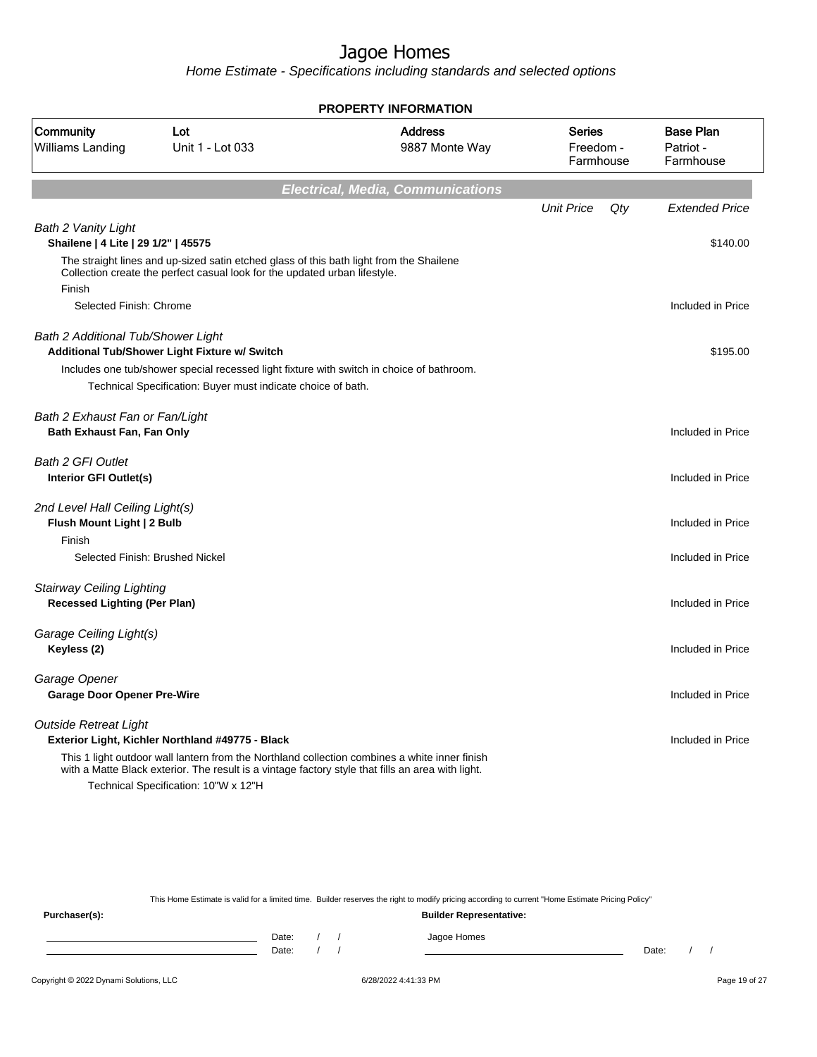Home Estimate - Specifications including standards and selected options

| <b>PROPERTY INFORMATION</b>                                       |                                                                                                   |                                          |                                         |                                            |  |  |
|-------------------------------------------------------------------|---------------------------------------------------------------------------------------------------|------------------------------------------|-----------------------------------------|--------------------------------------------|--|--|
| Community<br>Williams Landing                                     | Lot<br>Unit 1 - Lot 033                                                                           | <b>Address</b><br>9887 Monte Way         | <b>Series</b><br>Freedom -<br>Farmhouse | <b>Base Plan</b><br>Patriot -<br>Farmhouse |  |  |
|                                                                   |                                                                                                   | <b>Electrical, Media, Communications</b> |                                         |                                            |  |  |
|                                                                   |                                                                                                   |                                          | <b>Unit Price</b><br>Qty                | <b>Extended Price</b>                      |  |  |
| <b>Bath 2 Vanity Light</b><br>Shailene   4 Lite   29 1/2"   45575 |                                                                                                   |                                          |                                         | \$140.00                                   |  |  |
|                                                                   | The straight lines and up-sized satin etched glass of this bath light from the Shailene           |                                          |                                         |                                            |  |  |
| Finish                                                            | Collection create the perfect casual look for the updated urban lifestyle.                        |                                          |                                         |                                            |  |  |
| Selected Finish: Chrome                                           |                                                                                                   |                                          |                                         | Included in Price                          |  |  |
|                                                                   |                                                                                                   |                                          |                                         |                                            |  |  |
| <b>Bath 2 Additional Tub/Shower Light</b>                         | Additional Tub/Shower Light Fixture w/ Switch                                                     |                                          |                                         | \$195.00                                   |  |  |
|                                                                   | Includes one tub/shower special recessed light fixture with switch in choice of bathroom.         |                                          |                                         |                                            |  |  |
|                                                                   | Technical Specification: Buyer must indicate choice of bath.                                      |                                          |                                         |                                            |  |  |
| Bath 2 Exhaust Fan or Fan/Light                                   |                                                                                                   |                                          |                                         |                                            |  |  |
| Bath Exhaust Fan, Fan Only                                        |                                                                                                   |                                          |                                         | Included in Price                          |  |  |
| <b>Bath 2 GFI Outlet</b>                                          |                                                                                                   |                                          |                                         |                                            |  |  |
| Interior GFI Outlet(s)                                            |                                                                                                   |                                          |                                         | Included in Price                          |  |  |
|                                                                   |                                                                                                   |                                          |                                         |                                            |  |  |
| 2nd Level Hall Ceiling Light(s)<br>Flush Mount Light   2 Bulb     |                                                                                                   |                                          |                                         | Included in Price                          |  |  |
| Finish                                                            |                                                                                                   |                                          |                                         |                                            |  |  |
|                                                                   | Selected Finish: Brushed Nickel                                                                   |                                          |                                         | Included in Price                          |  |  |
| Stairway Ceiling Lighting                                         |                                                                                                   |                                          |                                         |                                            |  |  |
| <b>Recessed Lighting (Per Plan)</b>                               |                                                                                                   |                                          |                                         | Included in Price                          |  |  |
| Garage Ceiling Light(s)                                           |                                                                                                   |                                          |                                         |                                            |  |  |
| Keyless (2)                                                       |                                                                                                   |                                          |                                         | Included in Price                          |  |  |
|                                                                   |                                                                                                   |                                          |                                         |                                            |  |  |
| Garage Opener<br><b>Garage Door Opener Pre-Wire</b>               |                                                                                                   |                                          |                                         | Included in Price                          |  |  |
|                                                                   |                                                                                                   |                                          |                                         |                                            |  |  |
| <b>Outside Retreat Light</b>                                      | Exterior Light, Kichler Northland #49775 - Black                                                  |                                          |                                         | Included in Price                          |  |  |
|                                                                   | This 1 light outdoor wall lantern from the Northland collection combines a white inner finish     |                                          |                                         |                                            |  |  |
|                                                                   | with a Matte Black exterior. The result is a vintage factory style that fills an area with light. |                                          |                                         |                                            |  |  |
|                                                                   | Technical Specification: 10"W x 12"H                                                              |                                          |                                         |                                            |  |  |

This Home Estimate is valid for a limited time. Builder reserves the right to modify pricing according to current "Home Estimate Pricing Policy"

**Purchaser(s): Builder Representative:** Date: / / Jagoe Homes<br>Date: / / Jagoe Homes Date: / / **Date: / / 2006** Date: / / / Date: / / /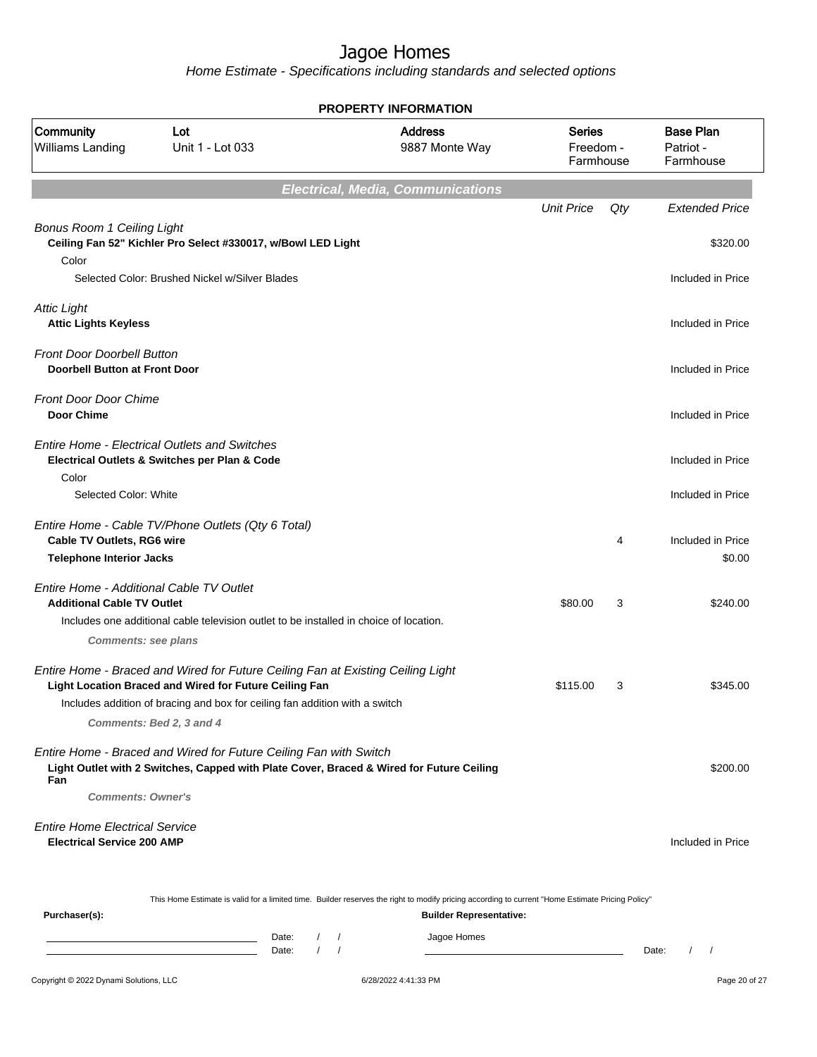Home Estimate - Specifications including standards and selected options

| <b>PROPERTY INFORMATION</b>                                                                                 |                                                                                                                                                                                                                                                      |                                                                                                                                                                                    |                                         |     |                                            |  |
|-------------------------------------------------------------------------------------------------------------|------------------------------------------------------------------------------------------------------------------------------------------------------------------------------------------------------------------------------------------------------|------------------------------------------------------------------------------------------------------------------------------------------------------------------------------------|-----------------------------------------|-----|--------------------------------------------|--|
| Community<br><b>Williams Landing</b>                                                                        | Lot<br>Unit 1 - Lot 033                                                                                                                                                                                                                              | <b>Address</b><br>9887 Monte Way                                                                                                                                                   | <b>Series</b><br>Freedom -<br>Farmhouse |     | <b>Base Plan</b><br>Patriot -<br>Farmhouse |  |
|                                                                                                             |                                                                                                                                                                                                                                                      | <b>Electrical, Media, Communications</b>                                                                                                                                           |                                         |     |                                            |  |
|                                                                                                             |                                                                                                                                                                                                                                                      |                                                                                                                                                                                    | <b>Unit Price</b>                       | Qty | <b>Extended Price</b>                      |  |
| <b>Bonus Room 1 Ceiling Light</b><br>Color                                                                  | Ceiling Fan 52" Kichler Pro Select #330017, w/Bowl LED Light                                                                                                                                                                                         |                                                                                                                                                                                    |                                         |     | \$320.00                                   |  |
|                                                                                                             | Selected Color: Brushed Nickel w/Silver Blades                                                                                                                                                                                                       |                                                                                                                                                                                    |                                         |     | Included in Price                          |  |
| <b>Attic Light</b><br><b>Attic Lights Keyless</b>                                                           |                                                                                                                                                                                                                                                      |                                                                                                                                                                                    |                                         |     | Included in Price                          |  |
| <b>Front Door Doorbell Button</b><br><b>Doorbell Button at Front Door</b>                                   |                                                                                                                                                                                                                                                      |                                                                                                                                                                                    |                                         |     | Included in Price                          |  |
| <b>Front Door Door Chime</b><br><b>Door Chime</b>                                                           |                                                                                                                                                                                                                                                      |                                                                                                                                                                                    |                                         |     | Included in Price                          |  |
| Color                                                                                                       | <b>Entire Home - Electrical Outlets and Switches</b><br>Electrical Outlets & Switches per Plan & Code                                                                                                                                                |                                                                                                                                                                                    |                                         |     | Included in Price                          |  |
| Selected Color: White                                                                                       |                                                                                                                                                                                                                                                      |                                                                                                                                                                                    |                                         |     | Included in Price                          |  |
| <b>Cable TV Outlets, RG6 wire</b>                                                                           | Entire Home - Cable TV/Phone Outlets (Qty 6 Total)                                                                                                                                                                                                   |                                                                                                                                                                                    |                                         | 4   | Included in Price                          |  |
| <b>Telephone Interior Jacks</b>                                                                             |                                                                                                                                                                                                                                                      |                                                                                                                                                                                    |                                         |     | \$0.00                                     |  |
| Entire Home - Additional Cable TV Outlet<br><b>Additional Cable TV Outlet</b><br><b>Comments: see plans</b> | Includes one additional cable television outlet to be installed in choice of location.                                                                                                                                                               |                                                                                                                                                                                    | \$80.00                                 | 3   | \$240.00                                   |  |
|                                                                                                             | Entire Home - Braced and Wired for Future Ceiling Fan at Existing Ceiling Light<br>Light Location Braced and Wired for Future Ceiling Fan<br>Includes addition of bracing and box for ceiling fan addition with a switch<br>Comments: Bed 2, 3 and 4 |                                                                                                                                                                                    | \$115.00                                | 3   | \$345.00                                   |  |
| Fan<br><b>Comments: Owner's</b>                                                                             | Entire Home - Braced and Wired for Future Ceiling Fan with Switch<br>Light Outlet with 2 Switches, Capped with Plate Cover, Braced & Wired for Future Ceiling                                                                                        |                                                                                                                                                                                    |                                         |     | \$200.00                                   |  |
| <b>Entire Home Electrical Service</b><br><b>Electrical Service 200 AMP</b>                                  |                                                                                                                                                                                                                                                      |                                                                                                                                                                                    |                                         |     | Included in Price                          |  |
| Purchaser(s):                                                                                               |                                                                                                                                                                                                                                                      | This Home Estimate is valid for a limited time. Builder reserves the right to modify pricing according to current "Home Estimate Pricing Policy"<br><b>Builder Representative:</b> |                                         |     |                                            |  |

Date: / / Jagoe Homes<br>Date: / / Jagoe Homes Date: / / Date: / /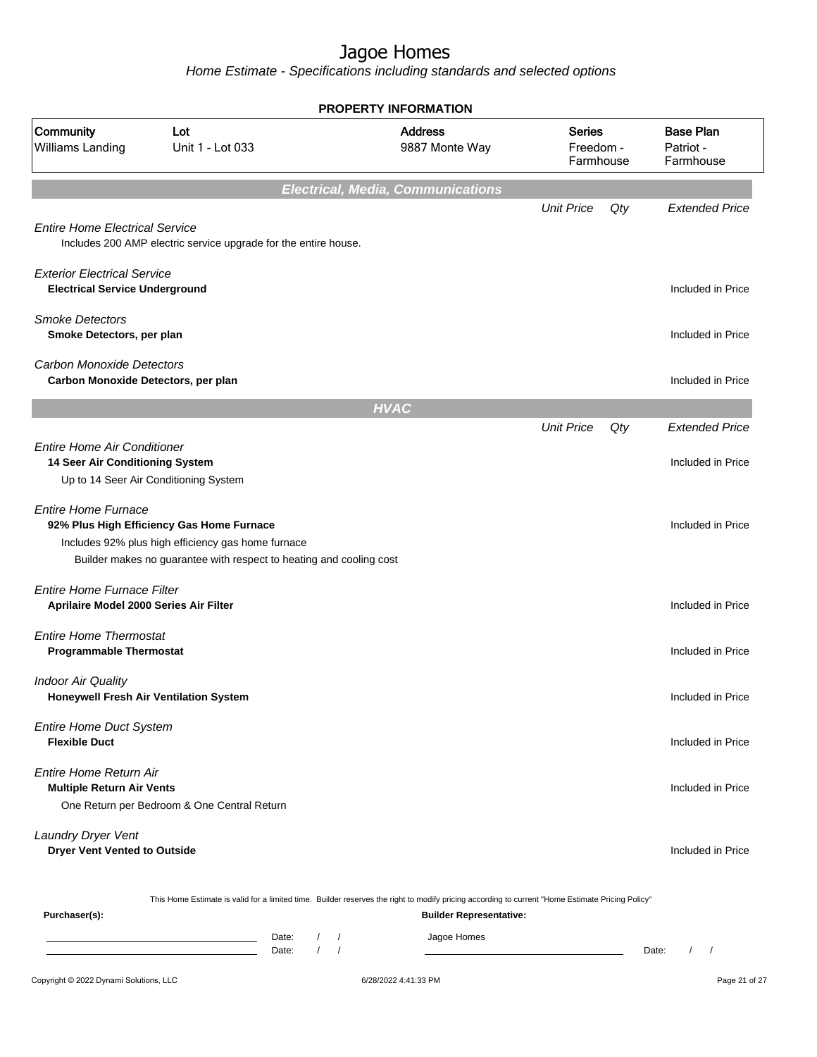|                                                                             |                                                                                                                                                                        |                                            | <b>PROPERTY INFORMATION</b> |                                          |                                         |     |                                            |
|-----------------------------------------------------------------------------|------------------------------------------------------------------------------------------------------------------------------------------------------------------------|--------------------------------------------|-----------------------------|------------------------------------------|-----------------------------------------|-----|--------------------------------------------|
| Community<br>Williams Landing                                               | Lot<br>Unit 1 - Lot 033                                                                                                                                                |                                            |                             | <b>Address</b><br>9887 Monte Way         | <b>Series</b><br>Freedom -<br>Farmhouse |     | <b>Base Plan</b><br>Patriot -<br>Farmhouse |
|                                                                             |                                                                                                                                                                        |                                            |                             | <b>Electrical, Media, Communications</b> |                                         |     |                                            |
| <b>Entire Home Electrical Service</b>                                       | Includes 200 AMP electric service upgrade for the entire house.                                                                                                        |                                            |                             |                                          | <b>Unit Price</b>                       | Qty | <b>Extended Price</b>                      |
| <b>Exterior Electrical Service</b><br><b>Electrical Service Underground</b> |                                                                                                                                                                        |                                            |                             |                                          |                                         |     | Included in Price                          |
| <b>Smoke Detectors</b><br>Smoke Detectors, per plan                         |                                                                                                                                                                        |                                            |                             |                                          |                                         |     | Included in Price                          |
| <b>Carbon Monoxide Detectors</b><br>Carbon Monoxide Detectors, per plan     |                                                                                                                                                                        |                                            |                             |                                          |                                         |     | Included in Price                          |
|                                                                             |                                                                                                                                                                        |                                            | <b>HVAC</b>                 |                                          |                                         |     |                                            |
|                                                                             |                                                                                                                                                                        |                                            |                             |                                          | <b>Unit Price</b>                       | Qty | <b>Extended Price</b>                      |
| Entire Home Air Conditioner<br>14 Seer Air Conditioning System              | Up to 14 Seer Air Conditioning System                                                                                                                                  |                                            |                             |                                          |                                         |     | Included in Price                          |
| <b>Entire Home Furnace</b>                                                  | 92% Plus High Efficiency Gas Home Furnace<br>Includes 92% plus high efficiency gas home furnace<br>Builder makes no guarantee with respect to heating and cooling cost |                                            |                             |                                          |                                         |     | Included in Price                          |
| <b>Entire Home Furnace Filter</b><br>Aprilaire Model 2000 Series Air Filter |                                                                                                                                                                        |                                            |                             |                                          |                                         |     | Included in Price                          |
| <b>Entire Home Thermostat</b><br><b>Programmable Thermostat</b>             |                                                                                                                                                                        |                                            |                             |                                          |                                         |     | Included in Price                          |
| <b>Indoor Air Quality</b>                                                   | Honeywell Fresh Air Ventilation System                                                                                                                                 |                                            |                             |                                          |                                         |     | Included in Price                          |
| <b>Entire Home Duct System</b><br><b>Flexible Duct</b>                      |                                                                                                                                                                        |                                            |                             |                                          |                                         |     | Included in Price                          |
| <b>Entire Home Return Air</b><br><b>Multiple Return Air Vents</b>           | One Return per Bedroom & One Central Return                                                                                                                            |                                            |                             |                                          |                                         |     | Included in Price                          |
| Laundry Dryer Vent<br><b>Dryer Vent Vented to Outside</b>                   |                                                                                                                                                                        |                                            |                             |                                          |                                         |     | Included in Price                          |
| Purchaser(s):                                                               | This Home Estimate is valid for a limited time. Builder reserves the right to modify pricing according to current "Home Estimate Pricing Policy"                       |                                            |                             | <b>Builder Representative:</b>           |                                         |     |                                            |
|                                                                             |                                                                                                                                                                        | Date:<br>$\sqrt{2}$<br>$\sqrt{ }$<br>Date: |                             | Jagoe Homes                              |                                         |     | Date:<br>$1 \quad 1$                       |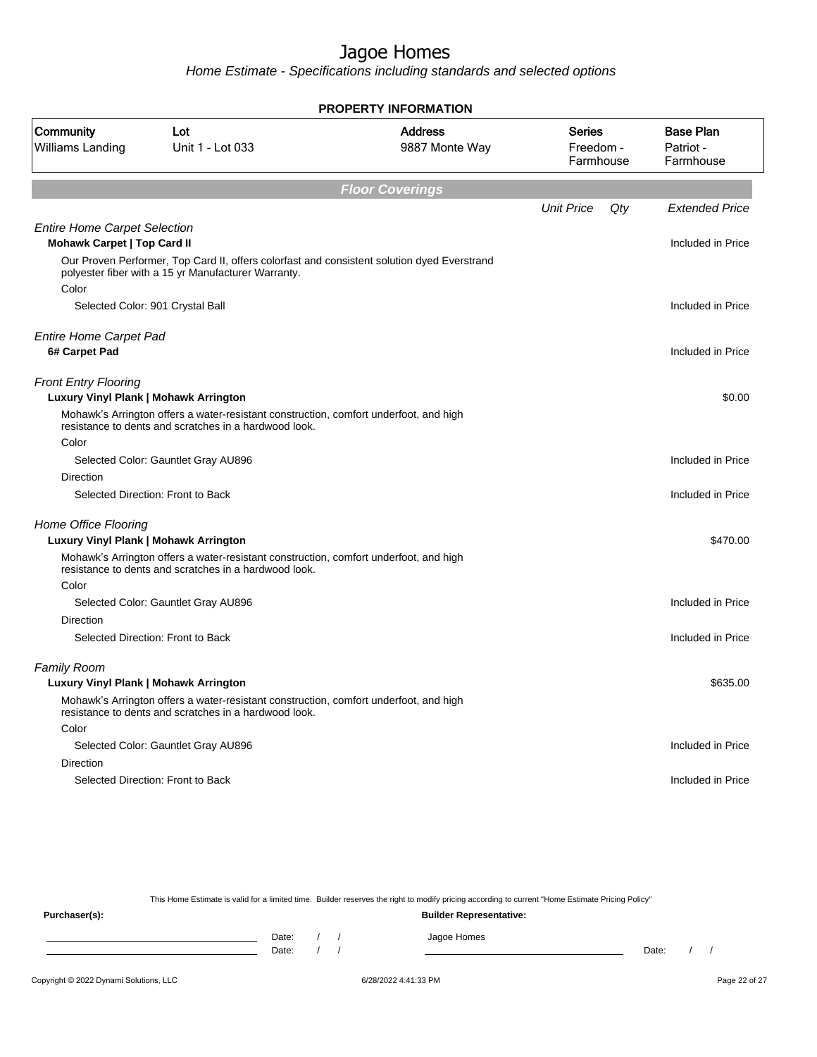Home Estimate - Specifications including standards and selected options

| <b>PROPERTY INFORMATION</b>                                               |                                                                                                                                                    |                                  |                                  |     |                                            |  |
|---------------------------------------------------------------------------|----------------------------------------------------------------------------------------------------------------------------------------------------|----------------------------------|----------------------------------|-----|--------------------------------------------|--|
| Community<br><b>Williams Landing</b>                                      | Lot<br>Unit 1 - Lot 033                                                                                                                            | <b>Address</b><br>9887 Monte Way | Series<br>Freedom -<br>Farmhouse |     | <b>Base Plan</b><br>Patriot -<br>Farmhouse |  |
|                                                                           |                                                                                                                                                    | <b>Floor Coverings</b>           |                                  |     |                                            |  |
|                                                                           |                                                                                                                                                    |                                  | <b>Unit Price</b>                | Qty | <b>Extended Price</b>                      |  |
| <b>Entire Home Carpet Selection</b><br><b>Mohawk Carpet   Top Card II</b> |                                                                                                                                                    |                                  |                                  |     | Included in Price                          |  |
| Color                                                                     | Our Proven Performer, Top Card II, offers colorfast and consistent solution dyed Everstrand<br>polyester fiber with a 15 yr Manufacturer Warranty. |                                  |                                  |     |                                            |  |
|                                                                           | Selected Color: 901 Crystal Ball                                                                                                                   |                                  |                                  |     | Included in Price                          |  |
| <b>Entire Home Carpet Pad</b><br>6# Carpet Pad                            |                                                                                                                                                    |                                  |                                  |     | Included in Price                          |  |
| <b>Front Entry Flooring</b><br>Luxury Vinyl Plank   Mohawk Arrington      |                                                                                                                                                    |                                  |                                  |     | \$0.00                                     |  |
|                                                                           | Mohawk's Arrington offers a water-resistant construction, comfort underfoot, and high<br>resistance to dents and scratches in a hardwood look.     |                                  |                                  |     |                                            |  |
| Color                                                                     |                                                                                                                                                    |                                  |                                  |     |                                            |  |
|                                                                           | Selected Color: Gauntlet Gray AU896                                                                                                                |                                  |                                  |     | Included in Price                          |  |
| Direction                                                                 |                                                                                                                                                    |                                  |                                  |     |                                            |  |
|                                                                           | Selected Direction: Front to Back                                                                                                                  |                                  |                                  |     | Included in Price                          |  |
| Home Office Flooring<br>Luxury Vinyl Plank   Mohawk Arrington             |                                                                                                                                                    |                                  |                                  |     | \$470.00                                   |  |
|                                                                           | Mohawk's Arrington offers a water-resistant construction, comfort underfoot, and high<br>resistance to dents and scratches in a hardwood look.     |                                  |                                  |     |                                            |  |
| Color                                                                     |                                                                                                                                                    |                                  |                                  |     |                                            |  |
|                                                                           | Selected Color: Gauntlet Gray AU896                                                                                                                |                                  |                                  |     | Included in Price                          |  |
| Direction                                                                 | Selected Direction: Front to Back                                                                                                                  |                                  |                                  |     | Included in Price                          |  |
| <b>Family Room</b>                                                        |                                                                                                                                                    |                                  |                                  |     |                                            |  |
| Luxury Vinyl Plank   Mohawk Arrington                                     |                                                                                                                                                    |                                  |                                  |     | \$635.00                                   |  |
|                                                                           | Mohawk's Arrington offers a water-resistant construction, comfort underfoot, and high<br>resistance to dents and scratches in a hardwood look.     |                                  |                                  |     |                                            |  |
| Color                                                                     |                                                                                                                                                    |                                  |                                  |     |                                            |  |
|                                                                           | Selected Color: Gauntlet Gray AU896                                                                                                                |                                  |                                  |     | Included in Price                          |  |
| <b>Direction</b>                                                          |                                                                                                                                                    |                                  |                                  |     |                                            |  |
|                                                                           | Selected Direction: Front to Back                                                                                                                  |                                  |                                  |     | Included in Price                          |  |
|                                                                           |                                                                                                                                                    |                                  |                                  |     |                                            |  |

This Home Estimate is valid for a limited time. Builder reserves the right to modify pricing according to current "Home Estimate Pricing Policy"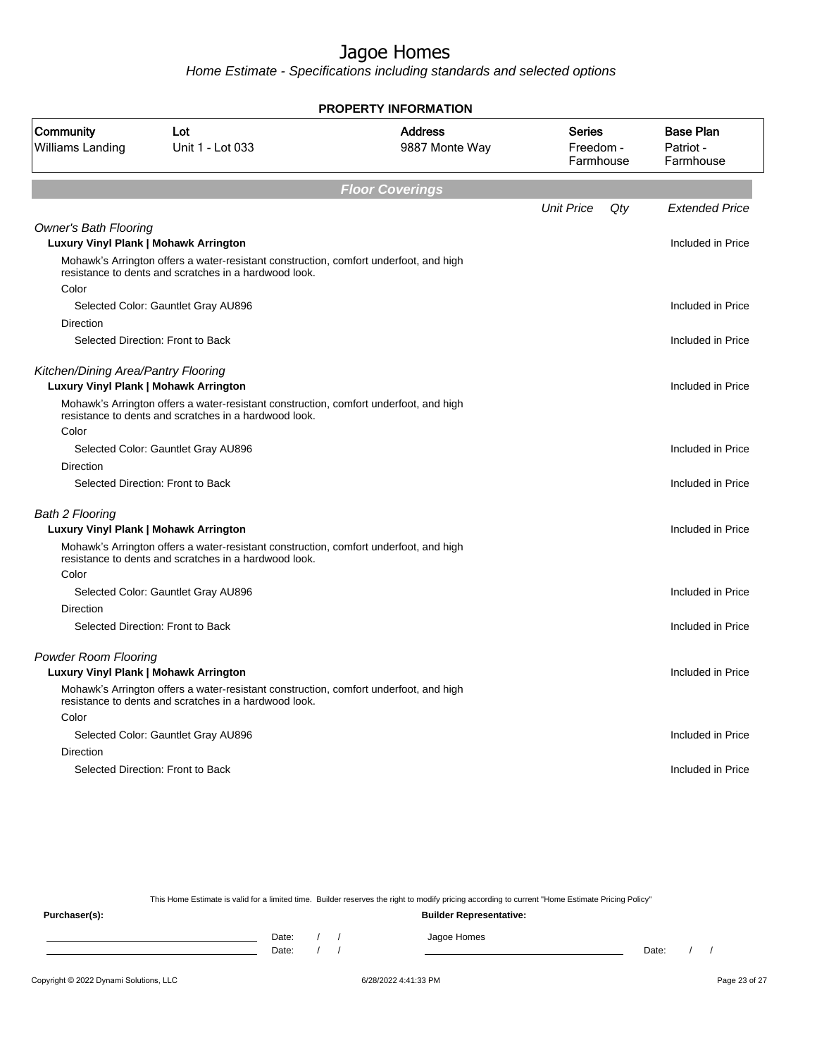Home Estimate - Specifications including standards and selected options

| <b>PROPERTY INFORMATION</b>                                                         |                                                                                                                                                |                                  |                                  |     |                                            |  |
|-------------------------------------------------------------------------------------|------------------------------------------------------------------------------------------------------------------------------------------------|----------------------------------|----------------------------------|-----|--------------------------------------------|--|
| Community<br><b>Williams Landing</b>                                                | Lot<br>Unit 1 - Lot 033                                                                                                                        | <b>Address</b><br>9887 Monte Way | Series<br>Freedom -<br>Farmhouse |     | <b>Base Plan</b><br>Patriot -<br>Farmhouse |  |
|                                                                                     |                                                                                                                                                | <b>Floor Coverings</b>           |                                  |     |                                            |  |
|                                                                                     |                                                                                                                                                |                                  | <b>Unit Price</b>                | Qty | <b>Extended Price</b>                      |  |
| <b>Owner's Bath Flooring</b><br>Luxury Vinyl Plank   Mohawk Arrington               |                                                                                                                                                |                                  |                                  |     | Included in Price                          |  |
|                                                                                     | Mohawk's Arrington offers a water-resistant construction, comfort underfoot, and high<br>resistance to dents and scratches in a hardwood look. |                                  |                                  |     |                                            |  |
| Color                                                                               |                                                                                                                                                |                                  |                                  |     |                                            |  |
|                                                                                     | Selected Color: Gauntlet Gray AU896                                                                                                            |                                  |                                  |     | Included in Price                          |  |
| Direction                                                                           |                                                                                                                                                |                                  |                                  |     |                                            |  |
|                                                                                     | Selected Direction: Front to Back                                                                                                              |                                  |                                  |     | Included in Price                          |  |
| Kitchen/Dining Area/Pantry Flooring<br><b>Luxury Vinyl Plank   Mohawk Arrington</b> |                                                                                                                                                |                                  |                                  |     | Included in Price                          |  |
|                                                                                     | Mohawk's Arrington offers a water-resistant construction, comfort underfoot, and high<br>resistance to dents and scratches in a hardwood look. |                                  |                                  |     |                                            |  |
| Color                                                                               |                                                                                                                                                |                                  |                                  |     |                                            |  |
|                                                                                     | Selected Color: Gauntlet Gray AU896                                                                                                            |                                  |                                  |     | Included in Price                          |  |
| Direction                                                                           |                                                                                                                                                |                                  |                                  |     |                                            |  |
|                                                                                     | Selected Direction: Front to Back                                                                                                              |                                  |                                  |     | Included in Price                          |  |
| <b>Bath 2 Flooring</b>                                                              |                                                                                                                                                |                                  |                                  |     |                                            |  |
| Luxury Vinyl Plank   Mohawk Arrington                                               |                                                                                                                                                |                                  |                                  |     | Included in Price                          |  |
|                                                                                     | Mohawk's Arrington offers a water-resistant construction, comfort underfoot, and high<br>resistance to dents and scratches in a hardwood look. |                                  |                                  |     |                                            |  |
| Color                                                                               |                                                                                                                                                |                                  |                                  |     |                                            |  |
|                                                                                     | Selected Color: Gauntlet Gray AU896                                                                                                            |                                  |                                  |     | Included in Price                          |  |
| <b>Direction</b>                                                                    |                                                                                                                                                |                                  |                                  |     |                                            |  |
|                                                                                     | Selected Direction: Front to Back                                                                                                              |                                  |                                  |     | Included in Price                          |  |
| <b>Powder Room Flooring</b>                                                         |                                                                                                                                                |                                  |                                  |     |                                            |  |
|                                                                                     | Luxury Vinyl Plank   Mohawk Arrington                                                                                                          |                                  |                                  |     | Included in Price                          |  |
|                                                                                     | Mohawk's Arrington offers a water-resistant construction, comfort underfoot, and high<br>resistance to dents and scratches in a hardwood look. |                                  |                                  |     |                                            |  |
| Color                                                                               |                                                                                                                                                |                                  |                                  |     |                                            |  |
|                                                                                     | Selected Color: Gauntlet Gray AU896                                                                                                            |                                  |                                  |     | Included in Price                          |  |
| Direction                                                                           |                                                                                                                                                |                                  |                                  |     |                                            |  |
|                                                                                     | Selected Direction: Front to Back                                                                                                              |                                  |                                  |     | Included in Price                          |  |
|                                                                                     |                                                                                                                                                |                                  |                                  |     |                                            |  |

This Home Estimate is valid for a limited time. Builder reserves the right to modify pricing according to current "Home Estimate Pricing Policy"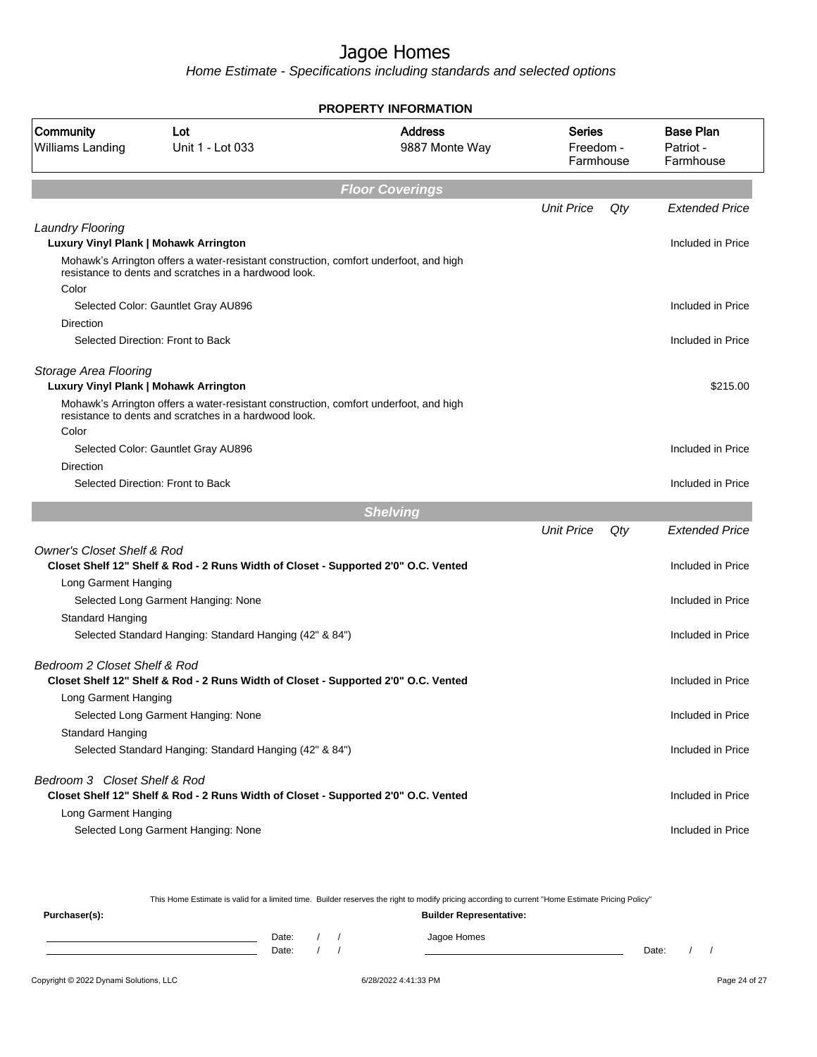Home Estimate - Specifications including standards and selected options

| <b>PROPERTY INFORMATION</b>           |                                                                                                                                                |                                  |                                         |     |                                            |  |
|---------------------------------------|------------------------------------------------------------------------------------------------------------------------------------------------|----------------------------------|-----------------------------------------|-----|--------------------------------------------|--|
| Community<br>Williams Landing         | Lot<br>Unit 1 - Lot 033                                                                                                                        | <b>Address</b><br>9887 Monte Way | <b>Series</b><br>Freedom -<br>Farmhouse |     | <b>Base Plan</b><br>Patriot -<br>Farmhouse |  |
|                                       |                                                                                                                                                | <b>Floor Coverings</b>           |                                         |     |                                            |  |
|                                       |                                                                                                                                                |                                  | <b>Unit Price</b>                       | Qty | <b>Extended Price</b>                      |  |
| <b>Laundry Flooring</b>               |                                                                                                                                                |                                  |                                         |     |                                            |  |
| Luxury Vinyl Plank   Mohawk Arrington |                                                                                                                                                |                                  |                                         |     | Included in Price                          |  |
|                                       | Mohawk's Arrington offers a water-resistant construction, comfort underfoot, and high<br>resistance to dents and scratches in a hardwood look. |                                  |                                         |     |                                            |  |
| Color                                 |                                                                                                                                                |                                  |                                         |     | Included in Price                          |  |
|                                       | Selected Color: Gauntlet Gray AU896                                                                                                            |                                  |                                         |     |                                            |  |
| Direction                             | Selected Direction: Front to Back                                                                                                              |                                  |                                         |     | Included in Price                          |  |
|                                       |                                                                                                                                                |                                  |                                         |     |                                            |  |
| Storage Area Flooring                 |                                                                                                                                                |                                  |                                         |     |                                            |  |
| Luxury Vinyl Plank   Mohawk Arrington |                                                                                                                                                |                                  |                                         |     | \$215.00                                   |  |
|                                       | Mohawk's Arrington offers a water-resistant construction, comfort underfoot, and high<br>resistance to dents and scratches in a hardwood look. |                                  |                                         |     |                                            |  |
| Color                                 |                                                                                                                                                |                                  |                                         |     |                                            |  |
|                                       | Selected Color: Gauntlet Gray AU896                                                                                                            |                                  |                                         |     | Included in Price                          |  |
| <b>Direction</b>                      | Selected Direction: Front to Back                                                                                                              |                                  |                                         |     | Included in Price                          |  |
|                                       |                                                                                                                                                |                                  |                                         |     |                                            |  |
|                                       |                                                                                                                                                | <b>Shelving</b>                  |                                         |     |                                            |  |
|                                       |                                                                                                                                                |                                  | <b>Unit Price</b>                       | Qty | <b>Extended Price</b>                      |  |
| <b>Owner's Closet Shelf &amp; Rod</b> | Closet Shelf 12" Shelf & Rod - 2 Runs Width of Closet - Supported 2'0" O.C. Vented                                                             |                                  |                                         |     | Included in Price                          |  |
| Long Garment Hanging                  |                                                                                                                                                |                                  |                                         |     |                                            |  |
|                                       | Selected Long Garment Hanging: None                                                                                                            |                                  |                                         |     | Included in Price                          |  |
| Standard Hanging                      |                                                                                                                                                |                                  |                                         |     |                                            |  |
|                                       | Selected Standard Hanging: Standard Hanging (42" & 84")                                                                                        |                                  |                                         |     | Included in Price                          |  |
| Bedroom 2 Closet Shelf & Rod          |                                                                                                                                                |                                  |                                         |     |                                            |  |
|                                       | Closet Shelf 12" Shelf & Rod - 2 Runs Width of Closet - Supported 2'0" O.C. Vented                                                             |                                  |                                         |     | Included in Price                          |  |
| Long Garment Hanging                  |                                                                                                                                                |                                  |                                         |     |                                            |  |
|                                       | Selected Long Garment Hanging: None                                                                                                            |                                  |                                         |     | Included in Price                          |  |
| Standard Hanging                      |                                                                                                                                                |                                  |                                         |     |                                            |  |
|                                       | Selected Standard Hanging: Standard Hanging (42" & 84")                                                                                        |                                  |                                         |     | Included in Price                          |  |
| Bedroom 3 Closet Shelf & Rod          |                                                                                                                                                |                                  |                                         |     |                                            |  |
|                                       | Closet Shelf 12" Shelf & Rod - 2 Runs Width of Closet - Supported 2'0" O.C. Vented                                                             |                                  |                                         |     | Included in Price                          |  |
| Long Garment Hanging                  |                                                                                                                                                |                                  |                                         |     |                                            |  |
|                                       | Selected Long Garment Hanging: None                                                                                                            |                                  |                                         |     | Included in Price                          |  |
|                                       |                                                                                                                                                |                                  |                                         |     |                                            |  |

This Home Estimate is valid for a limited time. Builder reserves the right to modify pricing according to current "Home Estimate Pricing Policy"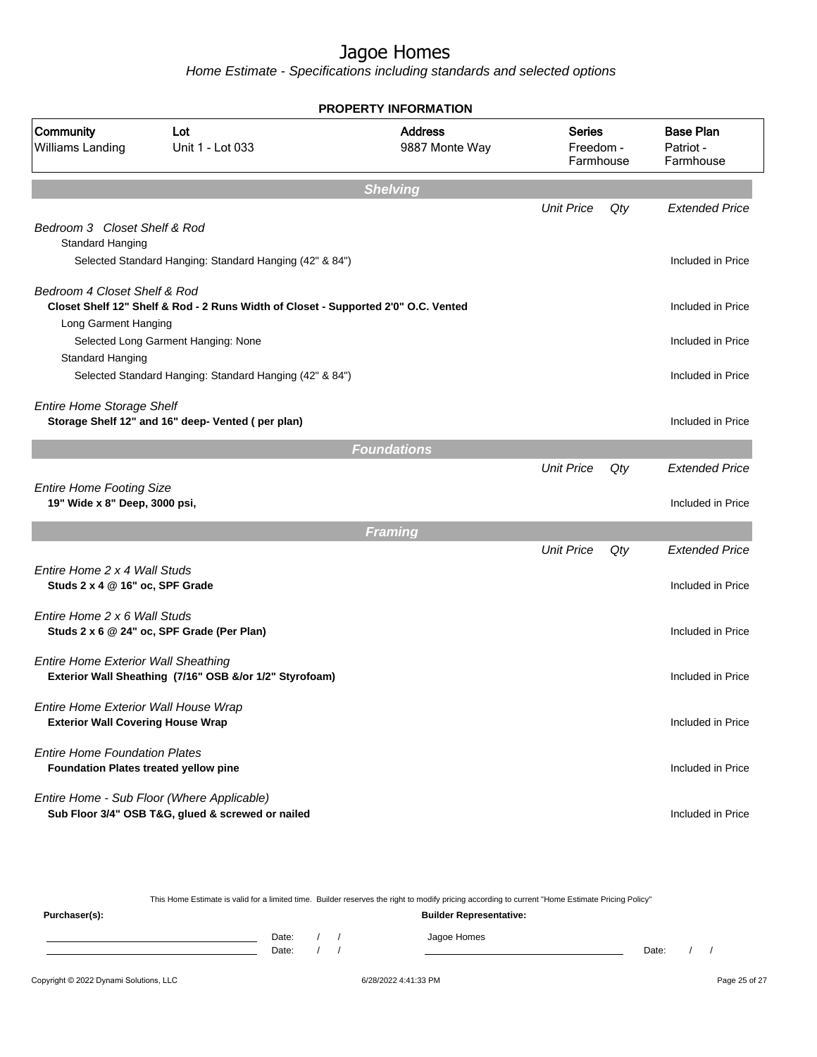Home Estimate - Specifications including standards and selected options

| <b>PROPERTY INFORMATION</b>                                                      |                                                                                    |                                  |                                         |     |                                            |  |  |
|----------------------------------------------------------------------------------|------------------------------------------------------------------------------------|----------------------------------|-----------------------------------------|-----|--------------------------------------------|--|--|
| Community<br><b>Williams Landing</b>                                             | Lot<br>Unit 1 - Lot 033                                                            | <b>Address</b><br>9887 Monte Way | <b>Series</b><br>Freedom -<br>Farmhouse |     | <b>Base Plan</b><br>Patriot -<br>Farmhouse |  |  |
|                                                                                  |                                                                                    | <b>Shelving</b>                  |                                         |     |                                            |  |  |
|                                                                                  |                                                                                    |                                  | <b>Unit Price</b>                       | Qty | <b>Extended Price</b>                      |  |  |
| Bedroom 3 Closet Shelf & Rod<br>Standard Hanging                                 |                                                                                    |                                  |                                         |     |                                            |  |  |
|                                                                                  | Selected Standard Hanging: Standard Hanging (42" & 84")                            |                                  |                                         |     | Included in Price                          |  |  |
| Bedroom 4 Closet Shelf & Rod                                                     |                                                                                    |                                  |                                         |     |                                            |  |  |
|                                                                                  | Closet Shelf 12" Shelf & Rod - 2 Runs Width of Closet - Supported 2'0" O.C. Vented |                                  |                                         |     | Included in Price                          |  |  |
| Long Garment Hanging                                                             |                                                                                    |                                  |                                         |     |                                            |  |  |
|                                                                                  | Selected Long Garment Hanging: None                                                |                                  |                                         |     | Included in Price                          |  |  |
| Standard Hanging                                                                 | Selected Standard Hanging: Standard Hanging (42" & 84")                            |                                  |                                         |     | Included in Price                          |  |  |
|                                                                                  |                                                                                    |                                  |                                         |     |                                            |  |  |
| <b>Entire Home Storage Shelf</b>                                                 | Storage Shelf 12" and 16" deep- Vented (per plan)                                  |                                  |                                         |     | Included in Price                          |  |  |
|                                                                                  |                                                                                    | <b>Foundations</b>               |                                         |     |                                            |  |  |
|                                                                                  |                                                                                    |                                  | <b>Unit Price</b>                       | Qty | <b>Extended Price</b>                      |  |  |
| <b>Entire Home Footing Size</b>                                                  |                                                                                    |                                  |                                         |     |                                            |  |  |
| 19" Wide x 8" Deep, 3000 psi,                                                    |                                                                                    |                                  |                                         |     | Included in Price                          |  |  |
|                                                                                  |                                                                                    | Framing                          |                                         |     |                                            |  |  |
|                                                                                  |                                                                                    |                                  | <b>Unit Price</b>                       | Qty | <b>Extended Price</b>                      |  |  |
| Entire Home 2 x 4 Wall Studs                                                     |                                                                                    |                                  |                                         |     |                                            |  |  |
| Studs 2 x 4 @ 16" oc, SPF Grade                                                  |                                                                                    |                                  |                                         |     | Included in Price                          |  |  |
| Entire Home 2 x 6 Wall Studs                                                     |                                                                                    |                                  |                                         |     |                                            |  |  |
|                                                                                  | Studs 2 x 6 @ 24" oc, SPF Grade (Per Plan)                                         |                                  |                                         |     | Included in Price                          |  |  |
| <b>Entire Home Exterior Wall Sheathing</b>                                       |                                                                                    |                                  |                                         |     |                                            |  |  |
|                                                                                  | Exterior Wall Sheathing (7/16" OSB &/or 1/2" Styrofoam)                            |                                  |                                         |     | Included in Price                          |  |  |
|                                                                                  |                                                                                    |                                  |                                         |     |                                            |  |  |
| Entire Home Exterior Wall House Wrap<br><b>Exterior Wall Covering House Wrap</b> |                                                                                    |                                  |                                         |     | Included in Price                          |  |  |
|                                                                                  |                                                                                    |                                  |                                         |     |                                            |  |  |
| <b>Entire Home Foundation Plates</b>                                             |                                                                                    |                                  |                                         |     |                                            |  |  |
| Foundation Plates treated yellow pine                                            |                                                                                    |                                  |                                         |     | Included in Price                          |  |  |
|                                                                                  | Entire Home - Sub Floor (Where Applicable)                                         |                                  |                                         |     |                                            |  |  |
|                                                                                  | Sub Floor 3/4" OSB T&G, glued & screwed or nailed                                  |                                  |                                         |     | Included in Price                          |  |  |
|                                                                                  |                                                                                    |                                  |                                         |     |                                            |  |  |

This Home Estimate is valid for a limited time. Builder reserves the right to modify pricing according to current "Home Estimate Pricing Policy" **Purchaser(s): Builder Representative:** Date: / / Jagoe Homes<br>Date: / / Jagoe Homes

Date: / / **Date: / / 2006** Date: / / / Date: / / /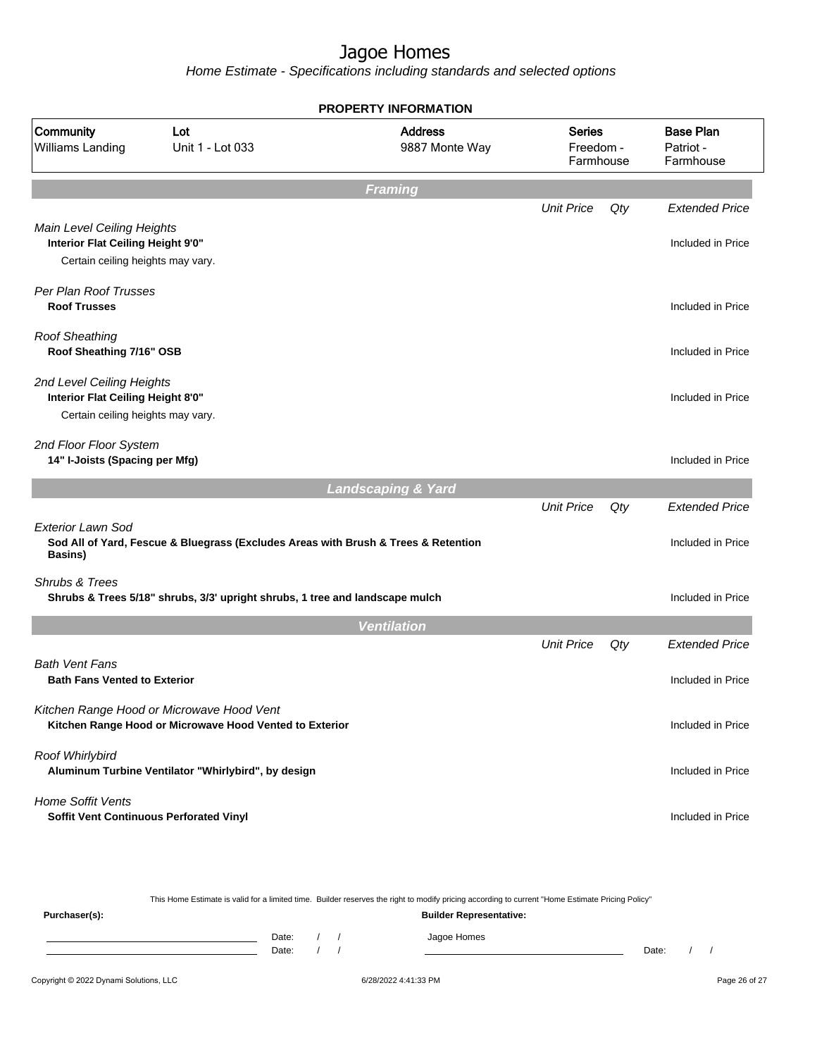|                                                                                                      |                                                                                                      | <b>PROPERTY INFORMATION</b>      |                                         |     |                                            |
|------------------------------------------------------------------------------------------------------|------------------------------------------------------------------------------------------------------|----------------------------------|-----------------------------------------|-----|--------------------------------------------|
| Community<br>Williams Landing                                                                        | Lot<br>Unit 1 - Lot 033                                                                              | <b>Address</b><br>9887 Monte Way | <b>Series</b><br>Freedom -<br>Farmhouse |     | <b>Base Plan</b><br>Patriot -<br>Farmhouse |
|                                                                                                      |                                                                                                      | <b>Framing</b>                   |                                         |     |                                            |
|                                                                                                      |                                                                                                      |                                  | <b>Unit Price</b>                       | Qty | <b>Extended Price</b>                      |
| Main Level Ceiling Heights<br>Interior Flat Ceiling Height 9'0"<br>Certain ceiling heights may vary. |                                                                                                      |                                  |                                         |     | Included in Price                          |
| Per Plan Roof Trusses<br><b>Roof Trusses</b>                                                         |                                                                                                      |                                  |                                         |     | Included in Price                          |
| <b>Roof Sheathing</b><br>Roof Sheathing 7/16" OSB                                                    |                                                                                                      |                                  |                                         |     | Included in Price                          |
| 2nd Level Ceiling Heights<br>Interior Flat Ceiling Height 8'0"<br>Certain ceiling heights may vary.  |                                                                                                      |                                  |                                         |     | Included in Price                          |
| 2nd Floor Floor System<br>14" I-Joists (Spacing per Mfg)                                             |                                                                                                      |                                  |                                         |     | Included in Price                          |
|                                                                                                      |                                                                                                      | <b>Landscaping &amp; Yard</b>    |                                         |     |                                            |
| Exterior Lawn Sod<br>Basins)                                                                         | Sod All of Yard, Fescue & Bluegrass (Excludes Areas with Brush & Trees & Retention                   |                                  | <b>Unit Price</b>                       | Qty | <b>Extended Price</b><br>Included in Price |
| Shrubs & Trees                                                                                       | Shrubs & Trees 5/18" shrubs, 3/3' upright shrubs, 1 tree and landscape mulch                         |                                  |                                         |     | Included in Price                          |
|                                                                                                      |                                                                                                      | <b>Ventilation</b>               |                                         |     |                                            |
|                                                                                                      |                                                                                                      |                                  | <b>Unit Price</b>                       | Qty | <b>Extended Price</b>                      |
| <b>Bath Vent Fans</b><br><b>Bath Fans Vented to Exterior</b>                                         |                                                                                                      |                                  |                                         |     | Included in Price                          |
|                                                                                                      | Kitchen Range Hood or Microwave Hood Vent<br>Kitchen Range Hood or Microwave Hood Vented to Exterior |                                  |                                         |     | Included in Price                          |
| Roof Whirlybird                                                                                      | Aluminum Turbine Ventilator "Whirlybird", by design                                                  |                                  |                                         |     | Included in Price                          |
| <b>Home Soffit Vents</b>                                                                             | Soffit Vent Continuous Perforated Vinyl                                                              |                                  |                                         |     | Included in Price                          |
|                                                                                                      |                                                                                                      |                                  |                                         |     |                                            |

|               | This Home Estimate is valid for a limited time. Builder reserves the right to modify pricing according to current "Home Estimate Pricing Policy" |       |  |  |             |       |  |  |  |  |  |
|---------------|--------------------------------------------------------------------------------------------------------------------------------------------------|-------|--|--|-------------|-------|--|--|--|--|--|
| Purchaser(s): | <b>Builder Representative:</b>                                                                                                                   |       |  |  |             |       |  |  |  |  |  |
|               |                                                                                                                                                  | Date: |  |  | Jagoe Homes |       |  |  |  |  |  |
|               |                                                                                                                                                  | Date: |  |  |             | Date: |  |  |  |  |  |
|               |                                                                                                                                                  |       |  |  |             |       |  |  |  |  |  |